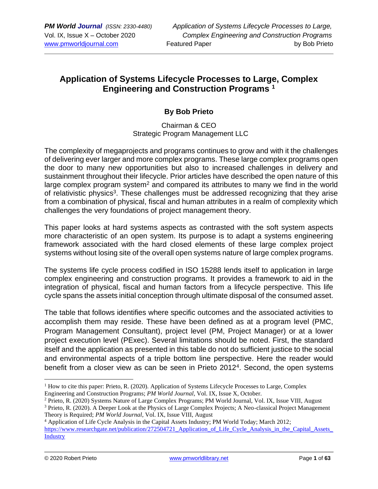# **Application of Systems Lifecycle Processes to Large, Complex Engineering and Construction Programs <sup>1</sup>**

### **By Bob Prieto**

#### Chairman & CEO Strategic Program Management LLC

The complexity of megaprojects and programs continues to grow and with it the challenges of delivering ever larger and more complex programs. These large complex programs open the door to many new opportunities but also to increased challenges in delivery and sustainment throughout their lifecycle. Prior articles have described the open nature of this large complex program system<sup>2</sup> and compared its attributes to many we find in the world of relativistic physics<sup>3</sup>. These challenges must be addressed recognizing that they arise from a combination of physical, fiscal and human attributes in a realm of complexity which challenges the very foundations of project management theory.

This paper looks at hard systems aspects as contrasted with the soft system aspects more characteristic of an open system. Its purpose is to adapt a systems engineering framework associated with the hard closed elements of these large complex project systems without losing site of the overall open systems nature of large complex programs.

The systems life cycle process codified in ISO 15288 lends itself to application in large complex engineering and construction programs. It provides a framework to aid in the integration of physical, fiscal and human factors from a lifecycle perspective. This life cycle spans the assets initial conception through ultimate disposal of the consumed asset.

The table that follows identifies where specific outcomes and the associated activities to accomplish them may reside. These have been defined as at a program level (PMC, Program Management Consultant), project level (PM, Project Manager) or at a lower project execution level (PExec). Several limitations should be noted. First, the standard itself and the application as presented in this table do not do sufficient justice to the social and environmental aspects of a triple bottom line perspective. Here the reader would benefit from a closer view as can be seen in Prieto 2012<sup>4</sup>. Second, the open systems

<sup>&</sup>lt;sup>1</sup> How to cite this paper: Prieto, R. (2020). Application of Systems Lifecycle Processes to Large, Complex Engineering and Construction Programs; *PM World Journal*, Vol. IX, Issue X, October.

<sup>&</sup>lt;sup>2</sup> Prieto, R. (2020) Systems Nature of Large Complex Programs; PM World Journal, Vol. IX, Issue VIII, August

<sup>&</sup>lt;sup>3</sup> Prieto, R. (2020). A Deeper Look at the Physics of Large Complex Projects; A Neo-classical Project Management Theory is Required; *PM World Journal*, Vol. IX, Issue VIII, August

<sup>4</sup> Application of Life Cycle Analysis in the Capital Assets Industry; PM World Today; March 2012;

https://www.researchgate.net/publication/272504721\_Application\_of\_Life\_Cycle\_Analysis\_in\_the\_Capital\_Assets **[Industry](https://www.researchgate.net/publication/272504721_Application_of_Life_Cycle_Analysis_in_the_Capital_Assets_Industry)**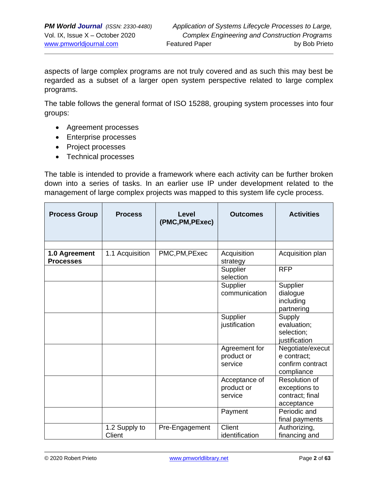aspects of large complex programs are not truly covered and as such this may best be regarded as a subset of a larger open system perspective related to large complex programs.

The table follows the general format of ISO 15288, grouping system processes into four groups:

- Agreement processes
- Enterprise processes
- Project processes
- Technical processes

The table is intended to provide a framework where each activity can be further broken down into a series of tasks. In an earlier use IP under development related to the management of large complex projects was mapped to this system life cycle process.

| <b>Process Group</b>              | <b>Process</b>          | Level<br>(PMC, PM, PExec) | <b>Outcomes</b>                        | <b>Activities</b>                                                 |
|-----------------------------------|-------------------------|---------------------------|----------------------------------------|-------------------------------------------------------------------|
|                                   |                         |                           |                                        |                                                                   |
| 1.0 Agreement<br><b>Processes</b> | 1.1 Acquisition         | PMC, PM, PExec            | Acquisition<br>strategy                | Acquisition plan                                                  |
|                                   |                         |                           | Supplier<br>selection                  | <b>RFP</b>                                                        |
|                                   |                         |                           | Supplier<br>communication              | Supplier<br>dialogue<br>including<br>partnering                   |
|                                   |                         |                           | Supplier<br>justification              | Supply<br>evaluation;<br>selection;<br>justification              |
|                                   |                         |                           | Agreement for<br>product or<br>service | Negotiate/execut<br>e contract;<br>confirm contract<br>compliance |
|                                   |                         |                           | Acceptance of<br>product or<br>service | Resolution of<br>exceptions to<br>contract; final<br>acceptance   |
|                                   |                         |                           | Payment                                | Periodic and<br>final payments                                    |
|                                   | 1.2 Supply to<br>Client | Pre-Engagement            | Client<br>identification               | Authorizing,<br>financing and                                     |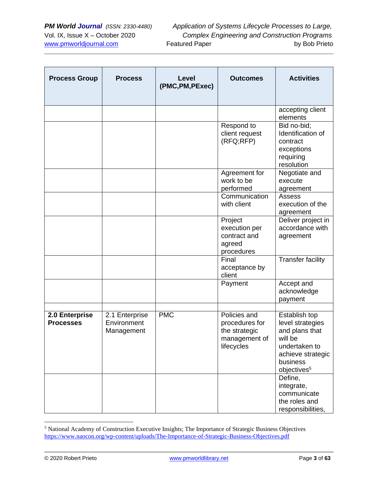| <b>Process Group</b>               | <b>Process</b>                              | Level<br>(PMC, PM, PExec) | <b>Outcomes</b>                                                                | <b>Activities</b>                                                                                                                           |
|------------------------------------|---------------------------------------------|---------------------------|--------------------------------------------------------------------------------|---------------------------------------------------------------------------------------------------------------------------------------------|
|                                    |                                             |                           |                                                                                | accepting client<br>elements                                                                                                                |
|                                    |                                             |                           | Respond to<br>client request<br>(RFQ;RFP)                                      | Bid no-bid;<br>Identification of<br>contract<br>exceptions<br>requiring<br>resolution                                                       |
|                                    |                                             |                           | Agreement for<br>work to be<br>performed                                       | Negotiate and<br>execute<br>agreement                                                                                                       |
|                                    |                                             |                           | Communication<br>with client                                                   | Assess<br>execution of the<br>agreement                                                                                                     |
|                                    |                                             |                           | Project<br>execution per<br>contract and<br>agreed<br>procedures               | Deliver project in<br>accordance with<br>agreement                                                                                          |
|                                    |                                             |                           | Final<br>acceptance by<br>client                                               | <b>Transfer facility</b>                                                                                                                    |
|                                    |                                             |                           | Payment                                                                        | Accept and<br>acknowledge<br>payment                                                                                                        |
| 2.0 Enterprise<br><b>Processes</b> | 2.1 Enterprise<br>Environment<br>Management | <b>PMC</b>                | Policies and<br>procedures for<br>the strategic<br>management of<br>lifecycles | Establish top<br>level strategies<br>and plans that<br>will be<br>undertaken to<br>achieve strategic<br>business<br>objectives <sup>5</sup> |
|                                    |                                             |                           |                                                                                | Define,<br>integrate,<br>communicate<br>the roles and<br>responsibilities,                                                                  |

<sup>5</sup> National Academy of Construction Executive Insights; The Importance of Strategic Business Objectives <https://www.naocon.org/wp-content/uploads/The-Importance-of-Strategic-Business-Objectives.pdf>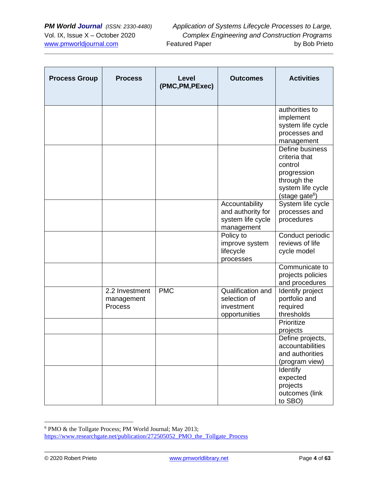| <b>Process Group</b> | <b>Process</b>                          | Level<br>(PMC, PM, PExec) | <b>Outcomes</b>                                                        | <b>Activities</b>                                                                                                            |
|----------------------|-----------------------------------------|---------------------------|------------------------------------------------------------------------|------------------------------------------------------------------------------------------------------------------------------|
|                      |                                         |                           |                                                                        | authorities to<br>implement<br>system life cycle<br>processes and<br>management                                              |
|                      |                                         |                           |                                                                        | Define business<br>criteria that<br>control<br>progression<br>through the<br>system life cycle<br>(stage gate <sup>6</sup> ) |
|                      |                                         |                           | Accountability<br>and authority for<br>system life cycle<br>management | System life cycle<br>processes and<br>procedures                                                                             |
|                      |                                         |                           | Policy to<br>improve system<br>lifecycle<br>processes                  | Conduct periodic<br>reviews of life<br>cycle model                                                                           |
|                      |                                         |                           |                                                                        | Communicate to<br>projects policies<br>and procedures                                                                        |
|                      | 2.2 Investment<br>management<br>Process | <b>PMC</b>                | Qualification and<br>selection of<br>investment<br>opportunities       | Identify project<br>portfolio and<br>required<br>thresholds                                                                  |
|                      |                                         |                           |                                                                        | Prioritize<br>projects                                                                                                       |
|                      |                                         |                           |                                                                        | Define projects,<br>accountabilities<br>and authorities<br>(program view)                                                    |
|                      |                                         |                           |                                                                        | Identify<br>expected<br>projects<br>outcomes (link<br>to SBO)                                                                |

<sup>6</sup> PMO & the Tollgate Process; PM World Journal; May 2013;

[https://www.researchgate.net/publication/272505052\\_PMO\\_the\\_Tollgate\\_Process](https://www.researchgate.net/publication/272505052_PMO_the_Tollgate_Process)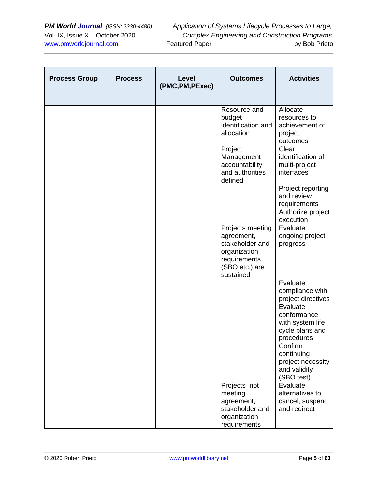| <b>Process Group</b> | <b>Process</b> | Level<br>(PMC, PM, PExec) | <b>Outcomes</b>                                                                                                  | <b>Activities</b>                                                            |
|----------------------|----------------|---------------------------|------------------------------------------------------------------------------------------------------------------|------------------------------------------------------------------------------|
|                      |                |                           | Resource and<br>budget<br>identification and<br>allocation                                                       | Allocate<br>resources to<br>achievement of<br>project<br>outcomes            |
|                      |                |                           | Project<br>Management<br>accountability<br>and authorities<br>defined                                            | Clear<br>identification of<br>multi-project<br>interfaces                    |
|                      |                |                           |                                                                                                                  | Project reporting<br>and review<br>requirements                              |
|                      |                |                           |                                                                                                                  | Authorize project<br>execution                                               |
|                      |                |                           | Projects meeting<br>agreement,<br>stakeholder and<br>organization<br>requirements<br>(SBO etc.) are<br>sustained | Evaluate<br>ongoing project<br>progress                                      |
|                      |                |                           |                                                                                                                  | Evaluate<br>compliance with<br>project directives                            |
|                      |                |                           |                                                                                                                  | Evaluate<br>conformance<br>with system life<br>cycle plans and<br>procedures |
|                      |                |                           |                                                                                                                  | Confirm<br>continuing<br>project necessity<br>and validity<br>(SBO test)     |
|                      |                |                           | Projects not<br>meeting<br>agreement,<br>stakeholder and<br>organization<br>requirements                         | Evaluate<br>alternatives to<br>cancel, suspend<br>and redirect               |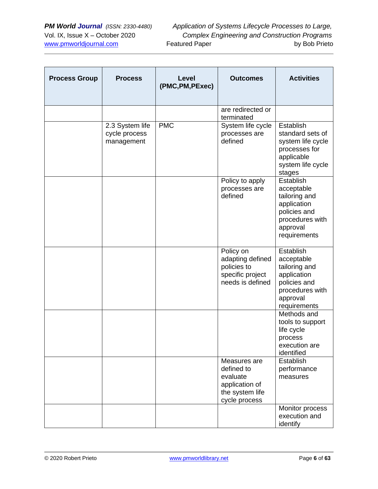| <b>Process Group</b> | <b>Process</b>                                 | Level<br>(PMC, PM, PExec) | <b>Outcomes</b>                                                                              | <b>Activities</b>                                                                                                      |
|----------------------|------------------------------------------------|---------------------------|----------------------------------------------------------------------------------------------|------------------------------------------------------------------------------------------------------------------------|
|                      |                                                |                           | are redirected or<br>terminated                                                              |                                                                                                                        |
|                      | 2.3 System life<br>cycle process<br>management | <b>PMC</b>                | System life cycle<br>processes are<br>defined                                                | Establish<br>standard sets of<br>system life cycle<br>processes for<br>applicable<br>system life cycle<br>stages       |
|                      |                                                |                           | Policy to apply<br>processes are<br>defined                                                  | Establish<br>acceptable<br>tailoring and<br>application<br>policies and<br>procedures with<br>approval<br>requirements |
|                      |                                                |                           | Policy on<br>adapting defined<br>policies to<br>specific project<br>needs is defined         | Establish<br>acceptable<br>tailoring and<br>application<br>policies and<br>procedures with<br>approval<br>requirements |
|                      |                                                |                           |                                                                                              | Methods and<br>tools to support<br>life cycle<br>process<br>execution are<br>identified                                |
|                      |                                                |                           | Measures are<br>defined to<br>evaluate<br>application of<br>the system life<br>cycle process | Establish<br>performance<br>measures                                                                                   |
|                      |                                                |                           |                                                                                              | Monitor process<br>execution and<br>identify                                                                           |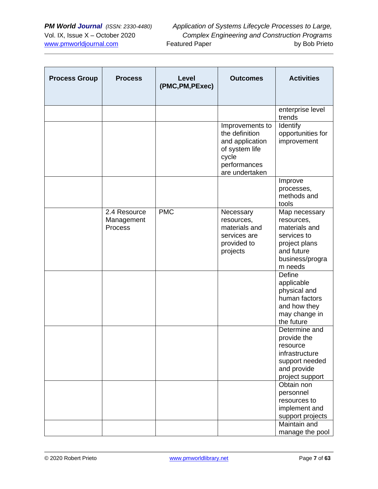| <b>Process Group</b> | <b>Process</b>                        | <b>Level</b><br>(PMC, PM, PExec) | <b>Outcomes</b>                                                                                                   | <b>Activities</b>                                                                                                        |
|----------------------|---------------------------------------|----------------------------------|-------------------------------------------------------------------------------------------------------------------|--------------------------------------------------------------------------------------------------------------------------|
|                      |                                       |                                  |                                                                                                                   | enterprise level<br>trends                                                                                               |
|                      |                                       |                                  | Improvements to<br>the definition<br>and application<br>of system life<br>cycle<br>performances<br>are undertaken | Identify<br>opportunities for<br>improvement                                                                             |
|                      |                                       |                                  |                                                                                                                   | Improve<br>processes,<br>methods and<br>tools                                                                            |
|                      | 2.4 Resource<br>Management<br>Process | <b>PMC</b>                       | Necessary<br>resources,<br>materials and<br>services are<br>provided to<br>projects                               | Map necessary<br>resources,<br>materials and<br>services to<br>project plans<br>and future<br>business/progra<br>m needs |
|                      |                                       |                                  |                                                                                                                   | Define<br>applicable<br>physical and<br>human factors<br>and how they<br>may change in<br>the future                     |
|                      |                                       |                                  |                                                                                                                   | Determine and<br>provide the<br>resource<br>infrastructure<br>support needed<br>and provide<br>project support           |
|                      |                                       |                                  |                                                                                                                   | Obtain non<br>personnel<br>resources to<br>implement and<br>support projects<br>Maintain and<br>manage the pool          |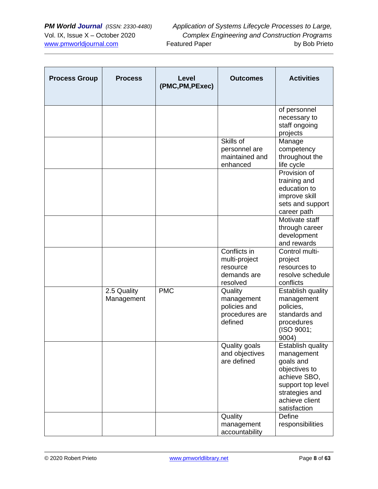| <b>Process Group</b> | <b>Process</b>            | Level<br>(PMC, PM, PExec) | <b>Outcomes</b>                                                      | <b>Activities</b>                                                                                                                                      |
|----------------------|---------------------------|---------------------------|----------------------------------------------------------------------|--------------------------------------------------------------------------------------------------------------------------------------------------------|
|                      |                           |                           |                                                                      | of personnel<br>necessary to<br>staff ongoing<br>projects                                                                                              |
|                      |                           |                           | Skills of<br>personnel are<br>maintained and<br>enhanced             | Manage<br>competency<br>throughout the<br>life cycle                                                                                                   |
|                      |                           |                           |                                                                      | Provision of<br>training and<br>education to<br>improve skill<br>sets and support<br>career path                                                       |
|                      |                           |                           |                                                                      | Motivate staff<br>through career<br>development<br>and rewards                                                                                         |
|                      |                           |                           | Conflicts in<br>multi-project<br>resource<br>demands are<br>resolved | Control multi-<br>project<br>resources to<br>resolve schedule<br>conflicts                                                                             |
|                      | 2.5 Quality<br>Management | <b>PMC</b>                | Quality<br>management<br>policies and<br>procedures are<br>defined   | <b>Establish quality</b><br>management<br>policies,<br>standards and<br>procedures<br>(ISO 9001;<br>9004)                                              |
|                      |                           |                           | Quality goals<br>and objectives<br>are defined                       | Establish quality<br>management<br>goals and<br>objectives to<br>achieve SBO,<br>support top level<br>strategies and<br>achieve client<br>satisfaction |
|                      |                           |                           | Quality<br>management<br>accountability                              | Define<br>responsibilities                                                                                                                             |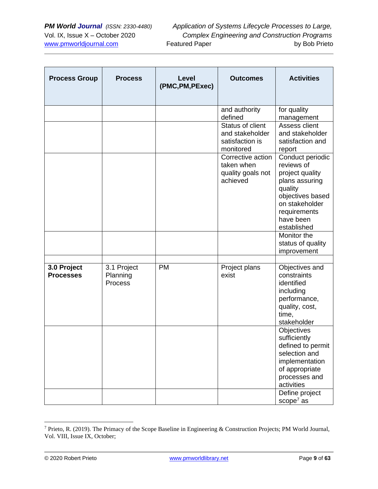| <b>Process Group</b>            | <b>Process</b>                     | Level<br>(PMC, PM, PExec) | <b>Outcomes</b>                                                     | <b>Activities</b>                                                                                                                                                               |
|---------------------------------|------------------------------------|---------------------------|---------------------------------------------------------------------|---------------------------------------------------------------------------------------------------------------------------------------------------------------------------------|
|                                 |                                    |                           | and authority<br>defined                                            | for quality<br>management                                                                                                                                                       |
|                                 |                                    |                           | Status of client<br>and stakeholder<br>satisfaction is<br>monitored | Assess client<br>and stakeholder<br>satisfaction and<br>report                                                                                                                  |
|                                 |                                    |                           | Corrective action<br>taken when<br>quality goals not<br>achieved    | Conduct periodic<br>reviews of<br>project quality<br>plans assuring<br>quality<br>objectives based<br>on stakeholder<br>requirements<br>have been<br>established<br>Monitor the |
|                                 |                                    |                           |                                                                     | status of quality<br>improvement                                                                                                                                                |
| 3.0 Project<br><b>Processes</b> | 3.1 Project<br>Planning<br>Process | <b>PM</b>                 | Project plans<br>exist                                              | Objectives and<br>constraints<br>identified<br>including<br>performance,<br>quality, cost,<br>time,<br>stakeholder                                                              |
|                                 |                                    |                           |                                                                     | Objectives<br>sufficiently<br>defined to permit<br>selection and<br>implementation<br>of appropriate<br>processes and<br>activities                                             |
|                                 |                                    |                           |                                                                     | Define project<br>scope $7$ as                                                                                                                                                  |

<sup>7</sup> Prieto, R. (2019). The Primacy of the Scope Baseline in Engineering & Construction Projects; PM World Journal, Vol. VIII, Issue IX, October;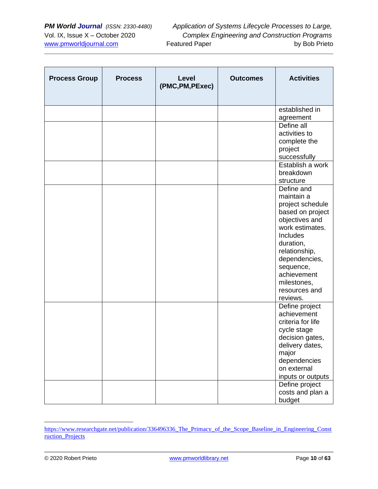| <b>Process Group</b> | <b>Process</b> | Level<br>(PMC, PM, PExec) | <b>Outcomes</b> | <b>Activities</b>           |
|----------------------|----------------|---------------------------|-----------------|-----------------------------|
|                      |                |                           |                 | established in              |
|                      |                |                           |                 | agreement                   |
|                      |                |                           |                 | Define all                  |
|                      |                |                           |                 | activities to               |
|                      |                |                           |                 | complete the                |
|                      |                |                           |                 | project                     |
|                      |                |                           |                 | successfully                |
|                      |                |                           |                 | Establish a work            |
|                      |                |                           |                 | breakdown<br>structure      |
|                      |                |                           |                 | Define and                  |
|                      |                |                           |                 | maintain a                  |
|                      |                |                           |                 | project schedule            |
|                      |                |                           |                 | based on project            |
|                      |                |                           |                 | objectives and              |
|                      |                |                           |                 | work estimates.             |
|                      |                |                           |                 | Includes                    |
|                      |                |                           |                 | duration,                   |
|                      |                |                           |                 | relationship,               |
|                      |                |                           |                 | dependencies,               |
|                      |                |                           |                 | sequence,                   |
|                      |                |                           |                 | achievement                 |
|                      |                |                           |                 | milestones,                 |
|                      |                |                           |                 | resources and               |
|                      |                |                           |                 | reviews.                    |
|                      |                |                           |                 | Define project              |
|                      |                |                           |                 | achievement                 |
|                      |                |                           |                 | criteria for life           |
|                      |                |                           |                 | cycle stage                 |
|                      |                |                           |                 | decision gates,             |
|                      |                |                           |                 | delivery dates,             |
|                      |                |                           |                 | major                       |
|                      |                |                           |                 | dependencies<br>on external |
|                      |                |                           |                 | inputs or outputs           |
|                      |                |                           |                 | Define project              |
|                      |                |                           |                 | costs and plan a            |
|                      |                |                           |                 | budget                      |

[https://www.researchgate.net/publication/336496336\\_The\\_Primacy\\_of\\_the\\_Scope\\_Baseline\\_in\\_Engineering\\_Const](https://www.researchgate.net/publication/336496336_The_Primacy_of_the_Scope_Baseline_in_Engineering_Construction_Projects) [ruction\\_Projects](https://www.researchgate.net/publication/336496336_The_Primacy_of_the_Scope_Baseline_in_Engineering_Construction_Projects)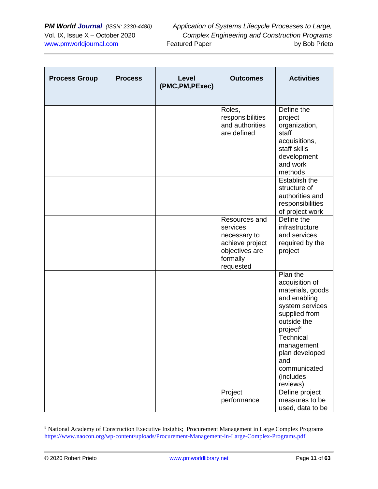| <b>Process Group</b> | <b>Process</b> | Level<br>(PMC, PM, PExec) | <b>Outcomes</b>                                                                                         | <b>Activities</b>                                                                                                                         |
|----------------------|----------------|---------------------------|---------------------------------------------------------------------------------------------------------|-------------------------------------------------------------------------------------------------------------------------------------------|
|                      |                |                           | Roles,<br>responsibilities<br>and authorities<br>are defined                                            | Define the<br>project<br>organization,<br>staff<br>acquisitions,<br>staff skills<br>development<br>and work<br>methods                    |
|                      |                |                           |                                                                                                         | Establish the<br>structure of<br>authorities and<br>responsibilities<br>of project work                                                   |
|                      |                |                           | Resources and<br>services<br>necessary to<br>achieve project<br>objectives are<br>formally<br>requested | Define the<br>infrastructure<br>and services<br>required by the<br>project                                                                |
|                      |                |                           |                                                                                                         | Plan the<br>acquisition of<br>materials, goods<br>and enabling<br>system services<br>supplied from<br>outside the<br>project <sup>8</sup> |
|                      |                |                           |                                                                                                         | Technical<br>management<br>plan developed<br>and<br>communicated<br>(includes<br>reviews)                                                 |
|                      |                |                           | Project<br>performance                                                                                  | Define project<br>measures to be<br>used, data to be                                                                                      |

<sup>8</sup> National Academy of Construction Executive Insights; Procurement Management in Large Complex Programs <https://www.naocon.org/wp-content/uploads/Procurement-Management-in-Large-Complex-Programs.pdf>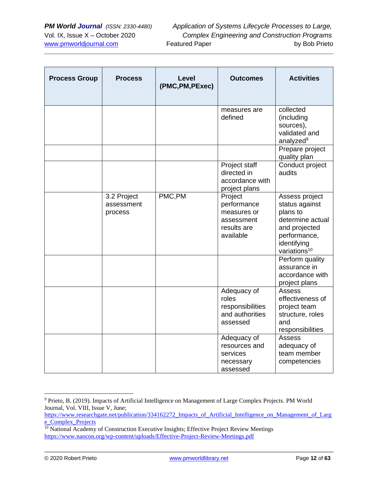| <b>Process Group</b> | <b>Process</b>                       | Level<br>(PMC, PM, PExec) | <b>Outcomes</b>                                                                 | <b>Activities</b>                                                                                                                            |
|----------------------|--------------------------------------|---------------------------|---------------------------------------------------------------------------------|----------------------------------------------------------------------------------------------------------------------------------------------|
|                      |                                      |                           | measures are<br>defined                                                         | collected<br>(including<br>sources),<br>validated and<br>analyzed <sup>9</sup>                                                               |
|                      |                                      |                           |                                                                                 | Prepare project<br>quality plan                                                                                                              |
|                      |                                      |                           | Project staff<br>directed in<br>accordance with<br>project plans                | Conduct project<br>audits                                                                                                                    |
|                      | 3.2 Project<br>assessment<br>process | PMC,PM                    | Project<br>performance<br>measures or<br>assessment<br>results are<br>available | Assess project<br>status against<br>plans to<br>determine actual<br>and projected<br>performance,<br>identifying<br>variations <sup>10</sup> |
|                      |                                      |                           |                                                                                 | Perform quality<br>assurance in<br>accordance with<br>project plans                                                                          |
|                      |                                      |                           | Adequacy of<br>roles<br>responsibilities<br>and authorities<br>assessed         | Assess<br>effectiveness of<br>project team<br>structure, roles<br>and<br>responsibilities                                                    |
|                      |                                      |                           | Adequacy of<br>resources and<br>services<br>necessary<br>assessed               | Assess<br>adequacy of<br>team member<br>competencies                                                                                         |

<sup>9</sup> Prieto, B. (2019). Impacts of Artificial Intelligence on Management of Large Complex Projects. PM World Journal, Vol. VIII, Issue V, June;

[https://www.researchgate.net/publication/334162272\\_Impacts\\_of\\_Artificial\\_Intelligence\\_on\\_Management\\_of\\_Larg](https://www.researchgate.net/publication/334162272_Impacts_of_Artificial_Intelligence_on_Management_of_Large_Complex_Projects) [e\\_Complex\\_Projects](https://www.researchgate.net/publication/334162272_Impacts_of_Artificial_Intelligence_on_Management_of_Large_Complex_Projects)

<sup>&</sup>lt;sup>10</sup> National Academy of Construction Executive Insights; Effective Project Review Meetings <https://www.naocon.org/wp-content/uploads/Effective-Project-Review-Meetings.pdf>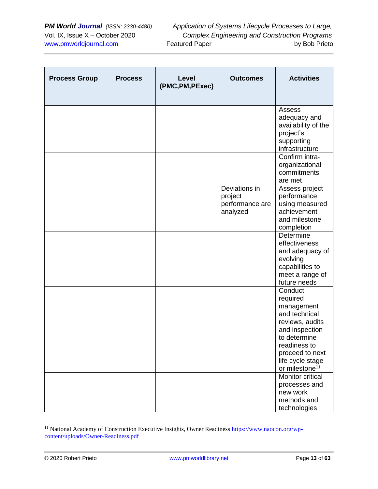| <b>Process Group</b> | <b>Process</b> | <b>Level</b><br>(PMC, PM, PExec) | <b>Outcomes</b>                                         | <b>Activities</b>                                                                                                                                                                            |
|----------------------|----------------|----------------------------------|---------------------------------------------------------|----------------------------------------------------------------------------------------------------------------------------------------------------------------------------------------------|
|                      |                |                                  |                                                         | Assess<br>adequacy and<br>availability of the<br>project's<br>supporting<br>infrastructure                                                                                                   |
|                      |                |                                  |                                                         | Confirm intra-<br>organizational<br>commitments<br>are met                                                                                                                                   |
|                      |                |                                  | Deviations in<br>project<br>performance are<br>analyzed | Assess project<br>performance<br>using measured<br>achievement<br>and milestone<br>completion                                                                                                |
|                      |                |                                  |                                                         | Determine<br>effectiveness<br>and adequacy of<br>evolving<br>capabilities to<br>meet a range of<br>future needs                                                                              |
|                      |                |                                  |                                                         | Conduct<br>required<br>management<br>and technical<br>reviews, audits<br>and inspection<br>to determine<br>readiness to<br>proceed to next<br>life cycle stage<br>or milestone <sup>11</sup> |
|                      |                |                                  |                                                         | <b>Monitor critical</b><br>processes and<br>new work<br>methods and<br>technologies                                                                                                          |

<sup>&</sup>lt;sup>11</sup> National Academy of Construction Executive Insights, Owner Readiness [https://www.naocon.org/wp](https://www.naocon.org/wp-content/uploads/Owner-Readiness.pdf)[content/uploads/Owner-Readiness.pdf](https://www.naocon.org/wp-content/uploads/Owner-Readiness.pdf)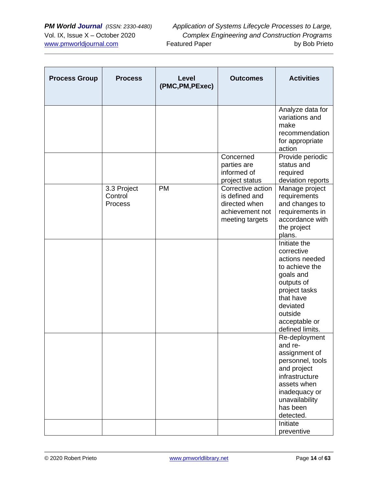| <b>Process Group</b> | <b>Process</b>                           | Level<br>(PMC, PM, PExec) | <b>Outcomes</b>                                                                            | <b>Activities</b>                                                                                                                                                                     |
|----------------------|------------------------------------------|---------------------------|--------------------------------------------------------------------------------------------|---------------------------------------------------------------------------------------------------------------------------------------------------------------------------------------|
|                      |                                          |                           |                                                                                            | Analyze data for<br>variations and<br>make<br>recommendation<br>for appropriate<br>action                                                                                             |
|                      |                                          |                           | Concerned<br>parties are<br>informed of<br>project status                                  | Provide periodic<br>status and<br>required<br>deviation reports                                                                                                                       |
|                      | 3.3 Project<br>Control<br><b>Process</b> | <b>PM</b>                 | Corrective action<br>is defined and<br>directed when<br>achievement not<br>meeting targets | Manage project<br>requirements<br>and changes to<br>requirements in<br>accordance with<br>the project<br>plans.                                                                       |
|                      |                                          |                           |                                                                                            | Initiate the<br>corrective<br>actions needed<br>to achieve the<br>goals and<br>outputs of<br>project tasks<br>that have<br>deviated<br>outside<br>acceptable or<br>defined limits.    |
|                      |                                          |                           |                                                                                            | Re-deployment<br>and re-<br>assignment of<br>personnel, tools<br>and project<br>infrastructure<br>assets when<br>inadequacy or<br>unavailability<br>has been<br>detected.<br>Initiate |
|                      |                                          |                           |                                                                                            | preventive                                                                                                                                                                            |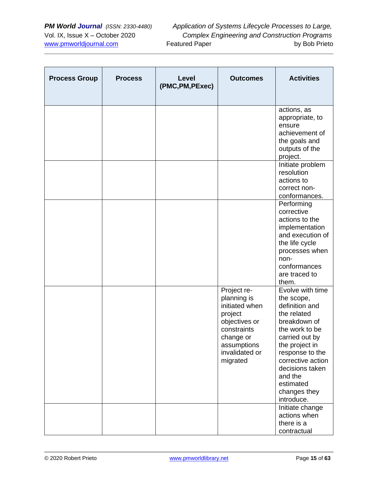| <b>Process Group</b> | <b>Process</b> | Level<br>(PMC, PM, PExec) | <b>Outcomes</b>                                                                                                                                   | <b>Activities</b>                                                                                                                                                                                                                                                         |
|----------------------|----------------|---------------------------|---------------------------------------------------------------------------------------------------------------------------------------------------|---------------------------------------------------------------------------------------------------------------------------------------------------------------------------------------------------------------------------------------------------------------------------|
|                      |                |                           |                                                                                                                                                   | actions, as<br>appropriate, to<br>ensure<br>achievement of<br>the goals and<br>outputs of the<br>project.<br>Initiate problem<br>resolution                                                                                                                               |
|                      |                |                           |                                                                                                                                                   | actions to<br>correct non-<br>conformances.                                                                                                                                                                                                                               |
|                      |                |                           |                                                                                                                                                   | Performing<br>corrective<br>actions to the<br>implementation<br>and execution of<br>the life cycle<br>processes when<br>non-<br>conformances<br>are traced to<br>them.                                                                                                    |
|                      |                |                           | Project re-<br>planning is<br>initiated when<br>project<br>objectives or<br>constraints<br>change or<br>assumptions<br>invalidated or<br>migrated | Evolve with time<br>the scope,<br>definition and<br>the related<br>breakdown of<br>the work to be<br>carried out by<br>the project in<br>response to the<br>corrective action<br>decisions taken<br>and the<br>estimated<br>changes they<br>introduce.<br>Initiate change |
|                      |                |                           |                                                                                                                                                   | actions when<br>there is a<br>contractual                                                                                                                                                                                                                                 |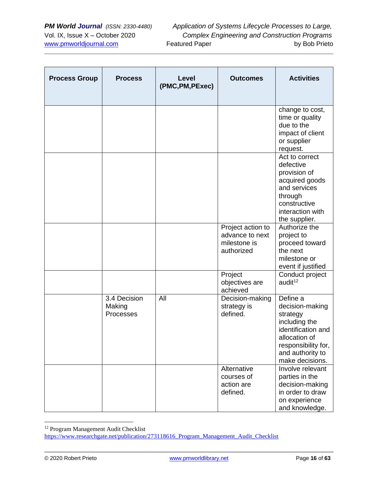| <b>Process Group</b> | <b>Process</b>                      | Level<br>(PMC, PM, PExec) | <b>Outcomes</b>                                                    | <b>Activities</b>                                                                                                                                             |
|----------------------|-------------------------------------|---------------------------|--------------------------------------------------------------------|---------------------------------------------------------------------------------------------------------------------------------------------------------------|
|                      |                                     |                           |                                                                    | change to cost,<br>time or quality<br>due to the<br>impact of client<br>or supplier<br>request.                                                               |
|                      |                                     |                           |                                                                    | Act to correct<br>defective<br>provision of<br>acquired goods<br>and services<br>through<br>constructive<br>interaction with<br>the supplier.                 |
|                      |                                     |                           | Project action to<br>advance to next<br>milestone is<br>authorized | Authorize the<br>project to<br>proceed toward<br>the next<br>milestone or<br>event if justified                                                               |
|                      |                                     |                           | Project<br>objectives are<br>achieved                              | Conduct project<br>audit <sup>12</sup>                                                                                                                        |
|                      | 3.4 Decision<br>Making<br>Processes | All                       | Decision-making<br>strategy is<br>defined.                         | Define a<br>decision-making<br>strategy<br>including the<br>identification and<br>allocation of<br>responsibility for,<br>and authority to<br>make decisions. |
|                      |                                     |                           | Alternative<br>courses of<br>action are<br>defined.                | Involve relevant<br>parties in the<br>decision-making<br>in order to draw<br>on experience<br>and knowledge.                                                  |

<sup>&</sup>lt;sup>12</sup> Program Management Audit Checklist

[https://www.researchgate.net/publication/273118616\\_Program\\_Management\\_Audit\\_Checklist](https://www.researchgate.net/publication/273118616_Program_Management_Audit_Checklist)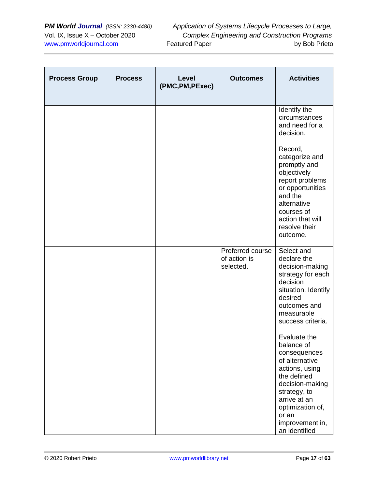| <b>Process Group</b> | <b>Process</b> | Level<br>(PMC, PM, PExec) | <b>Outcomes</b>                               | <b>Activities</b>                                                                                                                                                                                                 |
|----------------------|----------------|---------------------------|-----------------------------------------------|-------------------------------------------------------------------------------------------------------------------------------------------------------------------------------------------------------------------|
|                      |                |                           |                                               | Identify the<br>circumstances<br>and need for a<br>decision.                                                                                                                                                      |
|                      |                |                           |                                               | Record,<br>categorize and<br>promptly and<br>objectively<br>report problems<br>or opportunities<br>and the<br>alternative<br>courses of<br>action that will<br>resolve their<br>outcome.                          |
|                      |                |                           | Preferred course<br>of action is<br>selected. | Select and<br>declare the<br>decision-making<br>strategy for each<br>decision<br>situation. Identify<br>desired<br>outcomes and<br>measurable<br>success criteria.                                                |
|                      |                |                           |                                               | Evaluate the<br>balance of<br>consequences<br>of alternative<br>actions, using<br>the defined<br>decision-making<br>strategy, to<br>arrive at an<br>optimization of,<br>or an<br>improvement in,<br>an identified |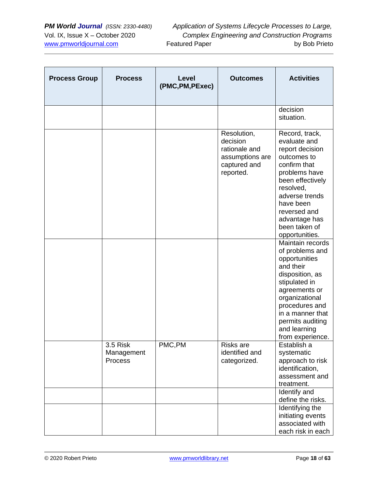| <b>Process Group</b> | <b>Process</b>                    | Level<br>(PMC, PM, PExec) | <b>Outcomes</b>                                                                          | <b>Activities</b>                                                                                                                                                                                                                      |
|----------------------|-----------------------------------|---------------------------|------------------------------------------------------------------------------------------|----------------------------------------------------------------------------------------------------------------------------------------------------------------------------------------------------------------------------------------|
|                      |                                   |                           |                                                                                          | decision<br>situation.                                                                                                                                                                                                                 |
|                      |                                   |                           | Resolution,<br>decision<br>rationale and<br>assumptions are<br>captured and<br>reported. | Record, track,<br>evaluate and<br>report decision<br>outcomes to<br>confirm that<br>problems have<br>been effectively<br>resolved,<br>adverse trends<br>have been<br>reversed and<br>advantage has<br>been taken of<br>opportunities.  |
|                      |                                   |                           |                                                                                          | Maintain records<br>of problems and<br>opportunities<br>and their<br>disposition, as<br>stipulated in<br>agreements or<br>organizational<br>procedures and<br>in a manner that<br>permits auditing<br>and learning<br>from experience. |
|                      | 3.5 Risk<br>Management<br>Process | PMC,PM                    | Risks are<br>identified and<br>categorized.                                              | Establish a<br>systematic<br>approach to risk<br>identification,<br>assessment and<br>treatment.<br>Identify and<br>define the risks.<br>Identifying the<br>initiating events<br>associated with<br>each risk in each                  |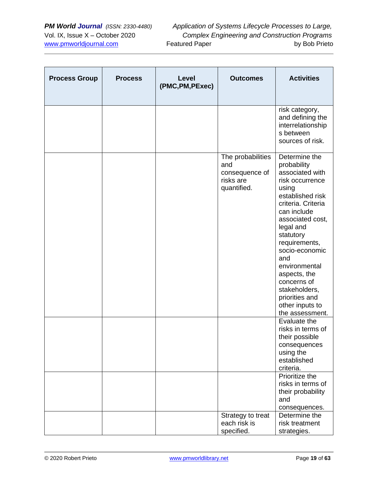| <b>Process Group</b> | <b>Process</b> | Level<br>(PMC, PM, PExec) | <b>Outcomes</b>                                                        | <b>Activities</b>                                                                                                                                                                                                                                                                                                                                     |
|----------------------|----------------|---------------------------|------------------------------------------------------------------------|-------------------------------------------------------------------------------------------------------------------------------------------------------------------------------------------------------------------------------------------------------------------------------------------------------------------------------------------------------|
|                      |                |                           |                                                                        | risk category,<br>and defining the<br>interrelationship<br>s between<br>sources of risk.                                                                                                                                                                                                                                                              |
|                      |                |                           | The probabilities<br>and<br>consequence of<br>risks are<br>quantified. | Determine the<br>probability<br>associated with<br>risk occurrence<br>using<br>established risk<br>criteria. Criteria<br>can include<br>associated cost,<br>legal and<br>statutory<br>requirements,<br>socio-economic<br>and<br>environmental<br>aspects, the<br>concerns of<br>stakeholders,<br>priorities and<br>other inputs to<br>the assessment. |
|                      |                |                           |                                                                        | Evaluate the<br>risks in terms of<br>their possible<br>consequences<br>using the<br>established<br>criteria.                                                                                                                                                                                                                                          |
|                      |                |                           |                                                                        | Prioritize the<br>risks in terms of<br>their probability<br>and<br>consequences.                                                                                                                                                                                                                                                                      |
|                      |                |                           | Strategy to treat<br>each risk is<br>specified.                        | Determine the<br>risk treatment<br>strategies.                                                                                                                                                                                                                                                                                                        |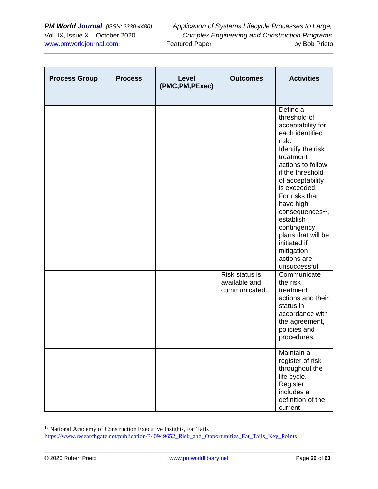| <b>Process Group</b> | <b>Process</b> | Level<br>(PMC, PM, PExec) | <b>Outcomes</b>                                  | <b>Activities</b>                                                                                                                                                           |
|----------------------|----------------|---------------------------|--------------------------------------------------|-----------------------------------------------------------------------------------------------------------------------------------------------------------------------------|
|                      |                |                           |                                                  | Define a<br>threshold of<br>acceptability for<br>each identified<br>risk.                                                                                                   |
|                      |                |                           |                                                  | Identify the risk<br>treatment<br>actions to follow<br>if the threshold<br>of acceptability<br>is exceeded.                                                                 |
|                      |                |                           |                                                  | For risks that<br>have high<br>consequences <sup>13</sup> ,<br>establish<br>contingency<br>plans that will be<br>initiated if<br>mitigation<br>actions are<br>unsuccessful. |
|                      |                |                           | Risk status is<br>available and<br>communicated. | Communicate<br>the risk<br>treatment<br>actions and their<br>status in<br>accordance with<br>the agreement,<br>policies and<br>procedures.                                  |
|                      |                |                           |                                                  | Maintain a<br>register of risk<br>throughout the<br>life cycle.<br>Register<br>includes a<br>definition of the<br>current                                                   |

<sup>&</sup>lt;sup>13</sup> National Academy of Construction Executive Insights, Fat Tails

[https://www.researchgate.net/publication/340949652\\_Risk\\_and\\_Opportunities\\_Fat\\_Tails\\_Key\\_Points](https://www.researchgate.net/publication/340949652_Risk_and_Opportunities_Fat_Tails_Key_Points)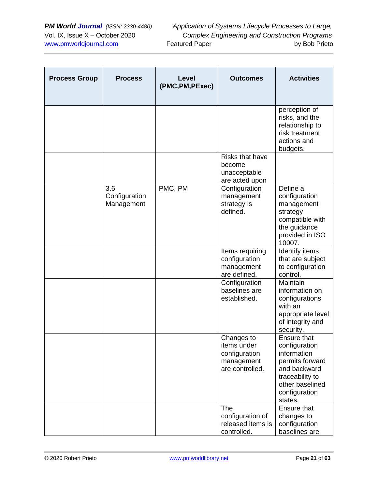| <b>Process Group</b> | <b>Process</b>                     | Level<br>(PMC, PM, PExec) | <b>Outcomes</b>                                                             | <b>Activities</b>                                                                                                                                       |
|----------------------|------------------------------------|---------------------------|-----------------------------------------------------------------------------|---------------------------------------------------------------------------------------------------------------------------------------------------------|
|                      |                                    |                           |                                                                             | perception of<br>risks, and the<br>relationship to<br>risk treatment<br>actions and<br>budgets.                                                         |
|                      |                                    |                           | <b>Risks that have</b><br>become<br>unacceptable<br>are acted upon          |                                                                                                                                                         |
|                      | 3.6<br>Configuration<br>Management | PMC, PM                   | Configuration<br>management<br>strategy is<br>defined.                      | Define a<br>configuration<br>management<br>strategy<br>compatible with<br>the guidance<br>provided in ISO<br>10007.                                     |
|                      |                                    |                           | Items requiring<br>configuration<br>management<br>are defined.              | Identify items<br>that are subject<br>to configuration<br>control.                                                                                      |
|                      |                                    |                           | Configuration<br>baselines are<br>established.                              | Maintain<br>information on<br>configurations<br>with an<br>appropriate level<br>of integrity and<br>security.                                           |
|                      |                                    |                           | Changes to<br>items under<br>configuration<br>management<br>are controlled. | <b>Ensure that</b><br>configuration<br>information<br>permits forward<br>and backward<br>traceability to<br>other baselined<br>configuration<br>states. |
|                      |                                    |                           | The<br>configuration of<br>released items is<br>controlled.                 | <b>Ensure that</b><br>changes to<br>configuration<br>baselines are                                                                                      |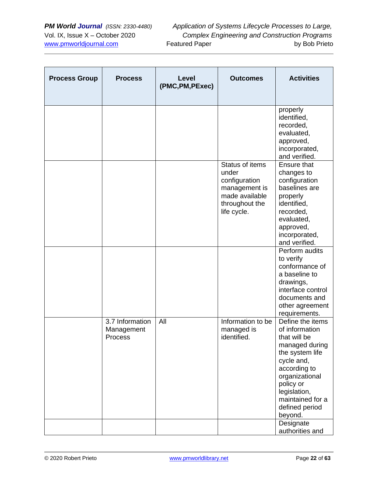| <b>Process Group</b> | <b>Process</b>                           | Level<br>(PMC, PM, PExec) | <b>Outcomes</b>                                                                                               | <b>Activities</b>                                                                                                                                                                                                     |
|----------------------|------------------------------------------|---------------------------|---------------------------------------------------------------------------------------------------------------|-----------------------------------------------------------------------------------------------------------------------------------------------------------------------------------------------------------------------|
|                      |                                          |                           |                                                                                                               | properly<br>identified,<br>recorded,<br>evaluated,<br>approved,<br>incorporated,<br>and verified.                                                                                                                     |
|                      |                                          |                           | Status of items<br>under<br>configuration<br>management is<br>made available<br>throughout the<br>life cycle. | Ensure that<br>changes to<br>configuration<br>baselines are<br>properly<br>identified,<br>recorded,<br>evaluated,<br>approved,<br>incorporated,<br>and verified.                                                      |
|                      |                                          |                           |                                                                                                               | Perform audits<br>to verify<br>conformance of<br>a baseline to<br>drawings,<br>interface control<br>documents and<br>other agreement<br>requirements.                                                                 |
|                      | 3.7 Information<br>Management<br>Process | All                       | Information to be<br>managed is<br>identified.                                                                | Define the items<br>of information<br>that will be<br>managed during<br>the system life<br>cycle and,<br>according to<br>organizational<br>policy or<br>legislation,<br>maintained for a<br>defined period<br>beyond. |
|                      |                                          |                           |                                                                                                               | Designate<br>authorities and                                                                                                                                                                                          |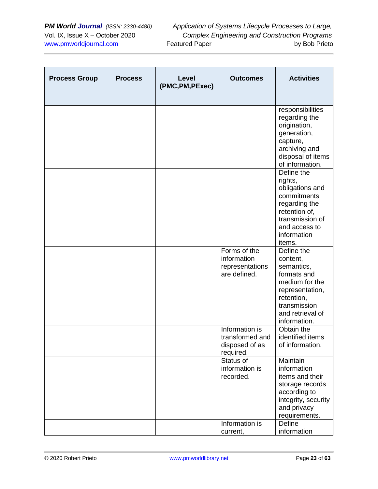| <b>Process Group</b> | <b>Process</b> | Level<br>(PMC, PM, PExec) | <b>Outcomes</b>                                                  | <b>Activities</b>                                                                                                                                          |
|----------------------|----------------|---------------------------|------------------------------------------------------------------|------------------------------------------------------------------------------------------------------------------------------------------------------------|
|                      |                |                           |                                                                  | responsibilities<br>regarding the<br>origination,<br>generation,<br>capture,<br>archiving and<br>disposal of items<br>of information.                      |
|                      |                |                           |                                                                  | Define the<br>rights,<br>obligations and<br>commitments<br>regarding the<br>retention of,<br>transmission of<br>and access to<br>information<br>items.     |
|                      |                |                           | Forms of the<br>information<br>representations<br>are defined.   | Define the<br>content,<br>semantics,<br>formats and<br>medium for the<br>representation,<br>retention,<br>transmission<br>and retrieval of<br>information. |
|                      |                |                           | Information is<br>transformed and<br>disposed of as<br>required. | Obtain the<br>identified items<br>of information.                                                                                                          |
|                      |                |                           | Status of<br>information is<br>recorded.                         | Maintain<br>information<br>items and their<br>storage records<br>according to<br>integrity, security<br>and privacy<br>requirements.                       |
|                      |                |                           | Information is<br>current,                                       | Define<br>information                                                                                                                                      |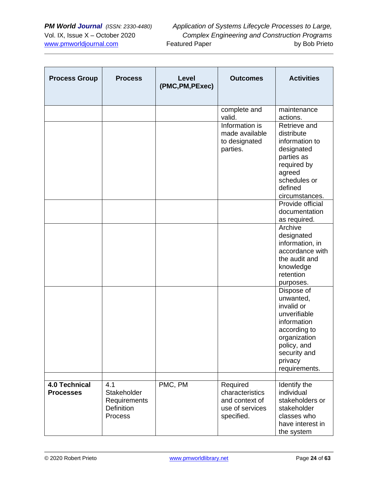| <b>Process Group</b>                     | <b>Process</b>                                                     | <b>Level</b><br>(PMC, PM, PExec) | <b>Outcomes</b>                                                                | <b>Activities</b>                                                                                                                                               |
|------------------------------------------|--------------------------------------------------------------------|----------------------------------|--------------------------------------------------------------------------------|-----------------------------------------------------------------------------------------------------------------------------------------------------------------|
|                                          |                                                                    |                                  | complete and<br>valid.                                                         | maintenance<br>actions.                                                                                                                                         |
|                                          |                                                                    |                                  | Information is<br>made available<br>to designated<br>parties.                  | Retrieve and<br>distribute<br>information to<br>designated<br>parties as<br>required by<br>agreed<br>schedules or<br>defined<br>circumstances.                  |
|                                          |                                                                    |                                  |                                                                                | Provide official<br>documentation<br>as required.                                                                                                               |
|                                          |                                                                    |                                  |                                                                                | Archive<br>designated<br>information, in<br>accordance with<br>the audit and<br>knowledge<br>retention<br>purposes.                                             |
|                                          |                                                                    |                                  |                                                                                | Dispose of<br>unwanted,<br>invalid or<br>unverifiable<br>information<br>according to<br>organization<br>policy, and<br>security and<br>privacy<br>requirements. |
| <b>4.0 Technical</b><br><b>Processes</b> | 4.1<br>Stakeholder<br>Requirements<br><b>Definition</b><br>Process | PMC, PM                          | Required<br>characteristics<br>and context of<br>use of services<br>specified. | Identify the<br>individual<br>stakeholders or<br>stakeholder<br>classes who<br>have interest in<br>the system                                                   |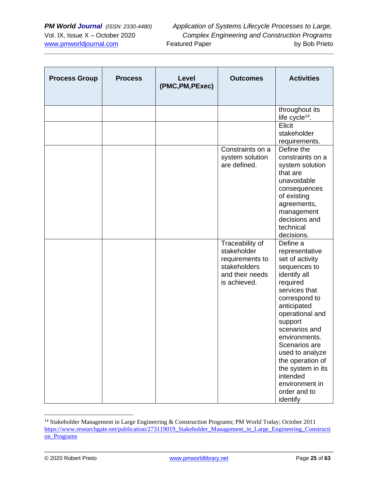| <b>Process Group</b> | <b>Process</b> | Level<br>(PMC, PM, PExec) | <b>Outcomes</b>                                                                                      | <b>Activities</b>                                                                                                                                                                                                                                                                                                                                 |
|----------------------|----------------|---------------------------|------------------------------------------------------------------------------------------------------|---------------------------------------------------------------------------------------------------------------------------------------------------------------------------------------------------------------------------------------------------------------------------------------------------------------------------------------------------|
|                      |                |                           |                                                                                                      | throughout its<br>life cycle <sup>14</sup> .                                                                                                                                                                                                                                                                                                      |
|                      |                |                           |                                                                                                      | Elicit<br>stakeholder<br>requirements.                                                                                                                                                                                                                                                                                                            |
|                      |                |                           | Constraints on a<br>system solution<br>are defined.                                                  | Define the<br>constraints on a<br>system solution<br>that are<br>unavoidable<br>consequences<br>of existing<br>agreements,<br>management<br>decisions and<br>technical<br>decisions.                                                                                                                                                              |
|                      |                |                           | Traceability of<br>stakeholder<br>requirements to<br>stakeholders<br>and their needs<br>is achieved. | Define a<br>representative<br>set of activity<br>sequences to<br>identify all<br>required<br>services that<br>correspond to<br>anticipated<br>operational and<br>support<br>scenarios and<br>environments.<br>Scenarios are<br>used to analyze<br>the operation of<br>the system in its<br>intended<br>environment in<br>order and to<br>identify |

<sup>14</sup> Stakeholder Management in Large Engineering & Construction Programs; PM World Today; October 2011 [https://www.researchgate.net/publication/273119019\\_Stakeholder\\_Management\\_in\\_Large\\_Engineering\\_Constructi](https://www.researchgate.net/publication/273119019_Stakeholder_Management_in_Large_Engineering_Construction_Programs) [on\\_Programs](https://www.researchgate.net/publication/273119019_Stakeholder_Management_in_Large_Engineering_Construction_Programs)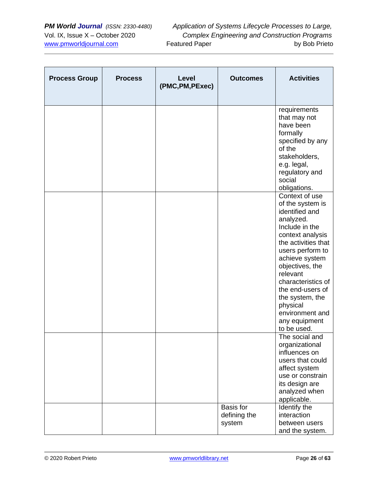| <b>Process Group</b> | <b>Process</b> | Level<br>(PMC, PM, PExec) | <b>Outcomes</b>                     | <b>Activities</b>                                                                                                                                                                                                                                                                                                               |
|----------------------|----------------|---------------------------|-------------------------------------|---------------------------------------------------------------------------------------------------------------------------------------------------------------------------------------------------------------------------------------------------------------------------------------------------------------------------------|
|                      |                |                           |                                     | requirements<br>that may not<br>have been<br>formally<br>specified by any<br>of the<br>stakeholders,<br>e.g. legal,<br>regulatory and<br>social<br>obligations.                                                                                                                                                                 |
|                      |                |                           |                                     | Context of use<br>of the system is<br>identified and<br>analyzed.<br>Include in the<br>context analysis<br>the activities that<br>users perform to<br>achieve system<br>objectives, the<br>relevant<br>characteristics of<br>the end-users of<br>the system, the<br>physical<br>environment and<br>any equipment<br>to be used. |
|                      |                |                           | Basis for<br>defining the<br>system | The social and<br>organizational<br>influences on<br>users that could<br>affect system<br>use or constrain<br>its design are<br>analyzed when<br>applicable.<br>Identify the<br>interaction<br>between users<br>and the system.                                                                                                 |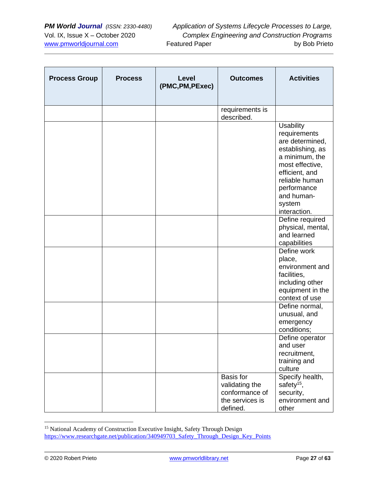| <b>Process Group</b> | <b>Process</b> | Level<br>(PMC, PM, PExec) | <b>Outcomes</b>                                                              | <b>Activities</b>                                                                                                                                                                                       |
|----------------------|----------------|---------------------------|------------------------------------------------------------------------------|---------------------------------------------------------------------------------------------------------------------------------------------------------------------------------------------------------|
|                      |                |                           | requirements is<br>described.                                                |                                                                                                                                                                                                         |
|                      |                |                           |                                                                              | <b>Usability</b><br>requirements<br>are determined,<br>establishing, as<br>a minimum, the<br>most effective,<br>efficient, and<br>reliable human<br>performance<br>and human-<br>system<br>interaction. |
|                      |                |                           |                                                                              | Define required<br>physical, mental,<br>and learned<br>capabilities                                                                                                                                     |
|                      |                |                           |                                                                              | Define work<br>place,<br>environment and<br>facilities,<br>including other<br>equipment in the<br>context of use                                                                                        |
|                      |                |                           |                                                                              | Define normal,<br>unusual, and<br>emergency<br>conditions;                                                                                                                                              |
|                      |                |                           |                                                                              | Define operator<br>and user<br>recruitment,<br>training and<br>culture                                                                                                                                  |
|                      |                |                           | Basis for<br>validating the<br>conformance of<br>the services is<br>defined. | Specify health,<br>safety <sup>15</sup> ,<br>security,<br>environment and<br>other                                                                                                                      |

<sup>&</sup>lt;sup>15</sup> National Academy of Construction Executive Insight, Safety Through Design [https://www.researchgate.net/publication/340949703\\_Safety\\_Through\\_Design\\_Key\\_Points](https://www.researchgate.net/publication/340949703_Safety_Through_Design_Key_Points)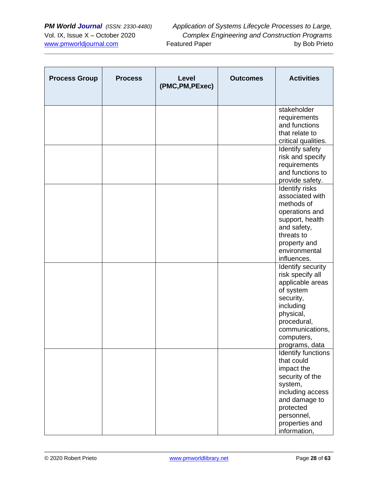| <b>Process Group</b> | <b>Process</b> | <b>Level</b><br>(PMC, PM, PExec) | <b>Outcomes</b> | <b>Activities</b>                                                                                                                                                               |
|----------------------|----------------|----------------------------------|-----------------|---------------------------------------------------------------------------------------------------------------------------------------------------------------------------------|
|                      |                |                                  |                 | stakeholder<br>requirements<br>and functions<br>that relate to<br>critical qualities.                                                                                           |
|                      |                |                                  |                 | Identify safety<br>risk and specify<br>requirements<br>and functions to<br>provide safety.                                                                                      |
|                      |                |                                  |                 | Identify risks<br>associated with<br>methods of<br>operations and<br>support, health<br>and safety,<br>threats to<br>property and<br>environmental<br>influences.               |
|                      |                |                                  |                 | Identify security<br>risk specify all<br>applicable areas<br>of system<br>security,<br>including<br>physical,<br>procedural,<br>communications,<br>computers,<br>programs, data |
|                      |                |                                  |                 | Identify functions<br>that could<br>impact the<br>security of the<br>system,<br>including access<br>and damage to<br>protected<br>personnel,<br>properties and<br>information,  |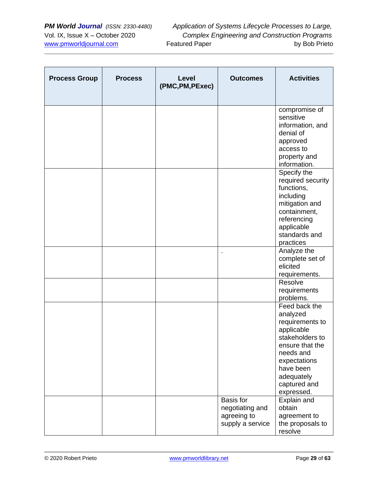| <b>Process Group</b> | <b>Process</b> | Level<br>(PMC, PM, PExec) | <b>Outcomes</b>                                                 | <b>Activities</b>                                                                                                                                                                      |
|----------------------|----------------|---------------------------|-----------------------------------------------------------------|----------------------------------------------------------------------------------------------------------------------------------------------------------------------------------------|
|                      |                |                           |                                                                 | compromise of<br>sensitive<br>information, and<br>denial of<br>approved<br>access to<br>property and<br>information.                                                                   |
|                      |                |                           |                                                                 | Specify the<br>required security<br>functions,<br>including<br>mitigation and<br>containment,<br>referencing<br>applicable<br>standards and<br>practices                               |
|                      |                |                           |                                                                 | Analyze the<br>complete set of<br>elicited<br>requirements.                                                                                                                            |
|                      |                |                           |                                                                 | Resolve<br>requirements<br>problems.                                                                                                                                                   |
|                      |                |                           |                                                                 | Feed back the<br>analyzed<br>requirements to<br>applicable<br>stakeholders to<br>ensure that the<br>needs and<br>expectations<br>have been<br>adequately<br>captured and<br>expressed. |
|                      |                |                           | Basis for<br>negotiating and<br>agreeing to<br>supply a service | Explain and<br>obtain<br>agreement to<br>the proposals to<br>resolve                                                                                                                   |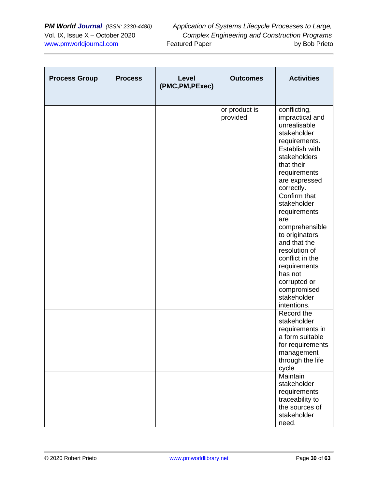| <b>Process Group</b> | <b>Process</b> | <b>Level</b><br>(PMC, PM, PExec) | <b>Outcomes</b>           | <b>Activities</b>                                                                                                                                                                                                                                                                                                                 |
|----------------------|----------------|----------------------------------|---------------------------|-----------------------------------------------------------------------------------------------------------------------------------------------------------------------------------------------------------------------------------------------------------------------------------------------------------------------------------|
|                      |                |                                  | or product is<br>provided | conflicting,<br>impractical and<br>unrealisable<br>stakeholder<br>requirements.                                                                                                                                                                                                                                                   |
|                      |                |                                  |                           | Establish with<br>stakeholders<br>that their<br>requirements<br>are expressed<br>correctly.<br>Confirm that<br>stakeholder<br>requirements<br>are<br>comprehensible<br>to originators<br>and that the<br>resolution of<br>conflict in the<br>requirements<br>has not<br>corrupted or<br>compromised<br>stakeholder<br>intentions. |
|                      |                |                                  |                           | Record the<br>stakeholder<br>requirements in<br>a form suitable<br>for requirements<br>management<br>through the life<br>cycle                                                                                                                                                                                                    |
|                      |                |                                  |                           | Maintain<br>stakeholder<br>requirements<br>traceability to<br>the sources of<br>stakeholder<br>need.                                                                                                                                                                                                                              |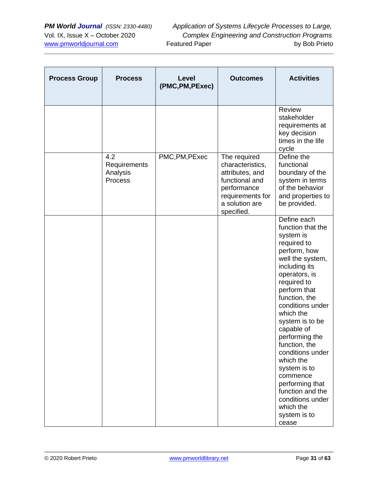| <b>Process Group</b> | <b>Process</b>                             | <b>Level</b><br>(PMC, PM, PExec) | <b>Outcomes</b>                                                                                                                          | <b>Activities</b>                                                                                                                                                                                                                                                                                                                                                                                                                                     |
|----------------------|--------------------------------------------|----------------------------------|------------------------------------------------------------------------------------------------------------------------------------------|-------------------------------------------------------------------------------------------------------------------------------------------------------------------------------------------------------------------------------------------------------------------------------------------------------------------------------------------------------------------------------------------------------------------------------------------------------|
|                      |                                            |                                  |                                                                                                                                          | Review<br>stakeholder<br>requirements at<br>key decision<br>times in the life<br>cycle                                                                                                                                                                                                                                                                                                                                                                |
|                      | 4.2<br>Requirements<br>Analysis<br>Process | PMC, PM, PExec                   | The required<br>characteristics,<br>attributes, and<br>functional and<br>performance<br>requirements for<br>a solution are<br>specified. | Define the<br>functional<br>boundary of the<br>system in terms<br>of the behavior<br>and properties to<br>be provided.                                                                                                                                                                                                                                                                                                                                |
|                      |                                            |                                  |                                                                                                                                          | Define each<br>function that the<br>system is<br>required to<br>perform, how<br>well the system,<br>including its<br>operators, is<br>required to<br>perform that<br>function, the<br>conditions under<br>which the<br>system is to be<br>capable of<br>performing the<br>function, the<br>conditions under<br>which the<br>system is to<br>commence<br>performing that<br>function and the<br>conditions under<br>which the<br>system is to<br>cease |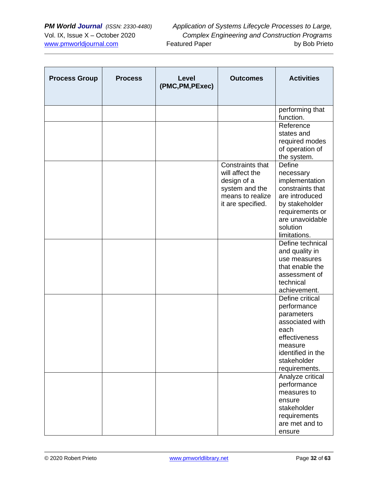| <b>Process Group</b> | <b>Process</b> | Level<br>(PMC, PM, PExec) | <b>Outcomes</b>                                                                                               | <b>Activities</b>                                                                                                                                               |
|----------------------|----------------|---------------------------|---------------------------------------------------------------------------------------------------------------|-----------------------------------------------------------------------------------------------------------------------------------------------------------------|
|                      |                |                           |                                                                                                               | performing that<br>function.                                                                                                                                    |
|                      |                |                           |                                                                                                               | Reference<br>states and<br>required modes<br>of operation of<br>the system.                                                                                     |
|                      |                |                           | Constraints that<br>will affect the<br>design of a<br>system and the<br>means to realize<br>it are specified. | Define<br>necessary<br>implementation<br>constraints that<br>are introduced<br>by stakeholder<br>requirements or<br>are unavoidable<br>solution<br>limitations. |
|                      |                |                           |                                                                                                               | Define technical<br>and quality in<br>use measures<br>that enable the<br>assessment of<br>technical<br>achievement.                                             |
|                      |                |                           |                                                                                                               | Define critical<br>performance<br>parameters<br>associated with<br>each<br>effectiveness<br>measure<br>identified in the<br>stakeholder<br>requirements.        |
|                      |                |                           |                                                                                                               | Analyze critical<br>performance<br>measures to<br>ensure<br>stakeholder<br>requirements<br>are met and to<br>ensure                                             |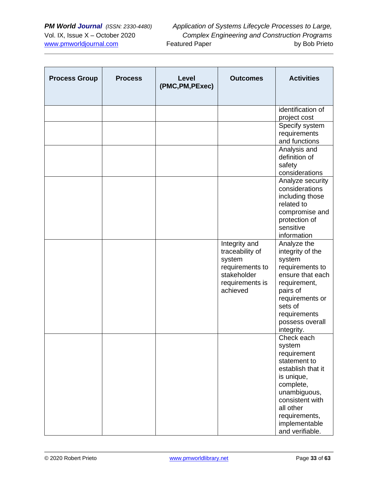| <b>Process Group</b> | <b>Process</b> | Level<br>(PMC, PM, PExec) | <b>Outcomes</b>                                                                                             | <b>Activities</b>                                                                                                                                                                                        |
|----------------------|----------------|---------------------------|-------------------------------------------------------------------------------------------------------------|----------------------------------------------------------------------------------------------------------------------------------------------------------------------------------------------------------|
|                      |                |                           |                                                                                                             | identification of<br>project cost                                                                                                                                                                        |
|                      |                |                           |                                                                                                             | Specify system<br>requirements<br>and functions                                                                                                                                                          |
|                      |                |                           |                                                                                                             | Analysis and<br>definition of<br>safety<br>considerations                                                                                                                                                |
|                      |                |                           |                                                                                                             | Analyze security<br>considerations<br>including those<br>related to<br>compromise and<br>protection of<br>sensitive<br>information                                                                       |
|                      |                |                           | Integrity and<br>traceability of<br>system<br>requirements to<br>stakeholder<br>requirements is<br>achieved | Analyze the<br>integrity of the<br>system<br>requirements to<br>ensure that each<br>requirement,<br>pairs of<br>requirements or<br>sets of<br>requirements<br>possess overall<br>integrity.              |
|                      |                |                           |                                                                                                             | Check each<br>system<br>requirement<br>statement to<br>establish that it<br>is unique,<br>complete,<br>unambiguous,<br>consistent with<br>all other<br>requirements,<br>implementable<br>and verifiable. |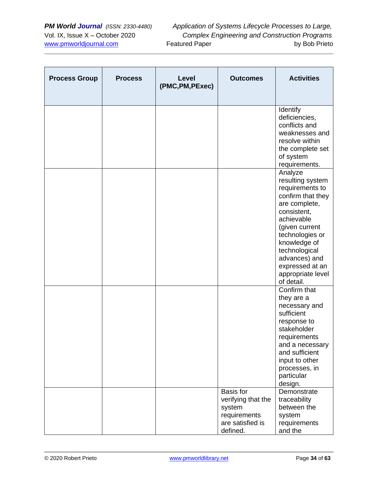| <b>Process Group</b> | <b>Process</b> | Level<br>(PMC, PM, PExec) | <b>Outcomes</b>                                                                                  | <b>Activities</b>                                                                                                                                                                                                                                              |
|----------------------|----------------|---------------------------|--------------------------------------------------------------------------------------------------|----------------------------------------------------------------------------------------------------------------------------------------------------------------------------------------------------------------------------------------------------------------|
|                      |                |                           |                                                                                                  | Identify<br>deficiencies,<br>conflicts and<br>weaknesses and<br>resolve within<br>the complete set<br>of system<br>requirements.                                                                                                                               |
|                      |                |                           |                                                                                                  | Analyze<br>resulting system<br>requirements to<br>confirm that they<br>are complete,<br>consistent,<br>achievable<br>(given current<br>technologies or<br>knowledge of<br>technological<br>advances) and<br>expressed at an<br>appropriate level<br>of detail. |
|                      |                |                           |                                                                                                  | Confirm that<br>they are a<br>necessary and<br>sufficient<br>response to<br>stakeholder<br>requirements<br>and a necessary<br>and sufficient<br>input to other<br>processes, in<br>particular<br>design.                                                       |
|                      |                |                           | <b>Basis</b> for<br>verifying that the<br>system<br>requirements<br>are satisfied is<br>defined. | Demonstrate<br>traceability<br>between the<br>system<br>requirements<br>and the                                                                                                                                                                                |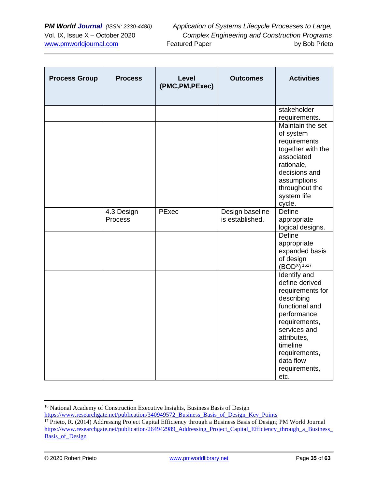| <b>Process Group</b> | <b>Process</b>        | <b>Level</b><br>(PMC, PM, PExec) | <b>Outcomes</b>                    | <b>Activities</b>                                                                                                                                                                                                    |
|----------------------|-----------------------|----------------------------------|------------------------------------|----------------------------------------------------------------------------------------------------------------------------------------------------------------------------------------------------------------------|
|                      |                       |                                  |                                    | stakeholder<br>requirements.                                                                                                                                                                                         |
|                      |                       |                                  |                                    | Maintain the set<br>of system<br>requirements<br>together with the<br>associated<br>rationale,<br>decisions and<br>assumptions<br>throughout the<br>system life<br>cycle.                                            |
|                      | 4.3 Design<br>Process | PExec                            | Design baseline<br>is established. | Define<br>appropriate<br>logical designs.                                                                                                                                                                            |
|                      |                       |                                  |                                    | <b>Define</b><br>appropriate<br>expanded basis<br>of design<br>$(BODx)$ <sup>1617</sup>                                                                                                                              |
|                      |                       |                                  |                                    | Identify and<br>define derived<br>requirements for<br>describing<br>functional and<br>performance<br>requirements,<br>services and<br>attributes,<br>timeline<br>requirements,<br>data flow<br>requirements,<br>etc. |

<sup>&</sup>lt;sup>16</sup> National Academy of Construction Executive Insights, Business Basis of Design https://www.researchgate.net/publication/340949572 Business Basis of Design Key Points

<sup>&</sup>lt;sup>17</sup> Prieto, R. (2014) Addressing Project Capital Efficiency through a Business Basis of Design; PM World Journal [https://www.researchgate.net/publication/264942989\\_Addressing\\_Project\\_Capital\\_Efficiency\\_through\\_a\\_Business\\_](https://www.researchgate.net/publication/264942989_Addressing_Project_Capital_Efficiency_through_a_Business_Basis_of_Design) [Basis\\_of\\_Design](https://www.researchgate.net/publication/264942989_Addressing_Project_Capital_Efficiency_through_a_Business_Basis_of_Design)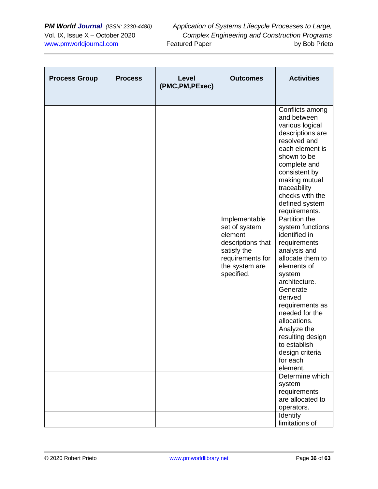| <b>Process Group</b> | <b>Process</b> | Level<br>(PMC, PM, PExec) | <b>Outcomes</b>                                                                                                                   | <b>Activities</b>                                                                                                                                                                                                                               |
|----------------------|----------------|---------------------------|-----------------------------------------------------------------------------------------------------------------------------------|-------------------------------------------------------------------------------------------------------------------------------------------------------------------------------------------------------------------------------------------------|
|                      |                |                           |                                                                                                                                   | Conflicts among<br>and between<br>various logical<br>descriptions are<br>resolved and<br>each element is<br>shown to be<br>complete and<br>consistent by<br>making mutual<br>traceability<br>checks with the<br>defined system<br>requirements. |
|                      |                |                           | Implementable<br>set of system<br>element<br>descriptions that<br>satisfy the<br>requirements for<br>the system are<br>specified. | Partition the<br>system functions<br>identified in<br>requirements<br>analysis and<br>allocate them to<br>elements of<br>system<br>architecture.<br>Generate<br>derived<br>requirements as<br>needed for the<br>allocations.                    |
|                      |                |                           |                                                                                                                                   | Analyze the<br>resulting design<br>to establish<br>design criteria<br>for each<br>element.<br>Determine which                                                                                                                                   |
|                      |                |                           |                                                                                                                                   | system<br>requirements<br>are allocated to<br>operators.<br>Identify<br>limitations of                                                                                                                                                          |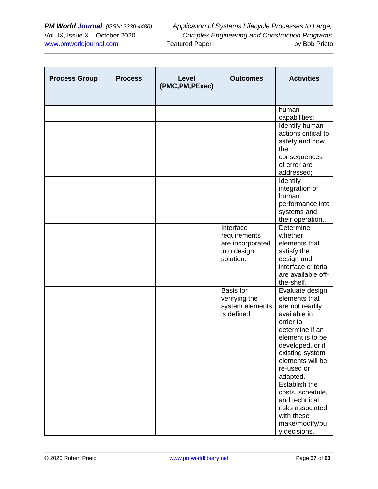| <b>Process Group</b> | <b>Process</b> | Level<br>(PMC, PM, PExec) | <b>Outcomes</b>                                                           | <b>Activities</b>                                                                                                                                                                                           |
|----------------------|----------------|---------------------------|---------------------------------------------------------------------------|-------------------------------------------------------------------------------------------------------------------------------------------------------------------------------------------------------------|
|                      |                |                           |                                                                           | human<br>capabilities;                                                                                                                                                                                      |
|                      |                |                           |                                                                           | Identify human<br>actions critical to<br>safety and how<br>the<br>consequences<br>of error are<br>addressed;                                                                                                |
|                      |                |                           |                                                                           | Identify<br>integration of<br>human<br>performance into<br>systems and<br>their operation                                                                                                                   |
|                      |                |                           | Interface<br>requirements<br>are incorporated<br>into design<br>solution. | Determine<br>whether<br>elements that<br>satisfy the<br>design and<br>interface criteria<br>are available off-<br>the-shelf.                                                                                |
|                      |                |                           | Basis for<br>verifying the<br>system elements<br>is defined.              | Evaluate design<br>elements that<br>are not readily<br>available in<br>order to<br>determine if an<br>element is to be<br>developed, or if<br>existing system<br>elements will be<br>re-used or<br>adapted. |
|                      |                |                           |                                                                           | Establish the<br>costs, schedule,<br>and technical<br>risks associated<br>with these<br>make/modify/bu<br>y decisions.                                                                                      |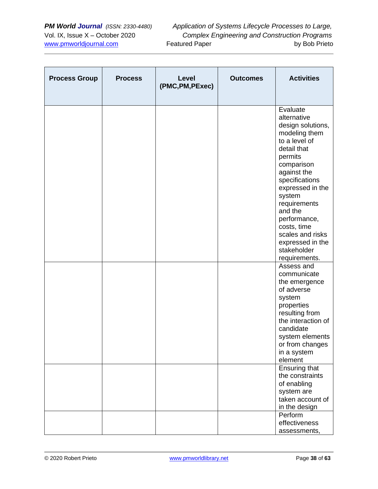| <b>Process Group</b> | <b>Process</b> | Level<br>(PMC, PM, PExec) | <b>Outcomes</b> | <b>Activities</b>                                                                                                                                                                                                                                                                                                       |
|----------------------|----------------|---------------------------|-----------------|-------------------------------------------------------------------------------------------------------------------------------------------------------------------------------------------------------------------------------------------------------------------------------------------------------------------------|
|                      |                |                           |                 | Evaluate<br>alternative<br>design solutions,<br>modeling them<br>to a level of<br>detail that<br>permits<br>comparison<br>against the<br>specifications<br>expressed in the<br>system<br>requirements<br>and the<br>performance,<br>costs, time<br>scales and risks<br>expressed in the<br>stakeholder<br>requirements. |
|                      |                |                           |                 | Assess and<br>communicate<br>the emergence<br>of adverse<br>system<br>properties<br>resulting from<br>the interaction of<br>candidate<br>system elements<br>or from changes<br>in a system<br>element<br>Ensuring that<br>the constraints<br>of enabling<br>system are                                                  |
|                      |                |                           |                 | taken account of<br>in the design<br>Perform<br>effectiveness<br>assessments,                                                                                                                                                                                                                                           |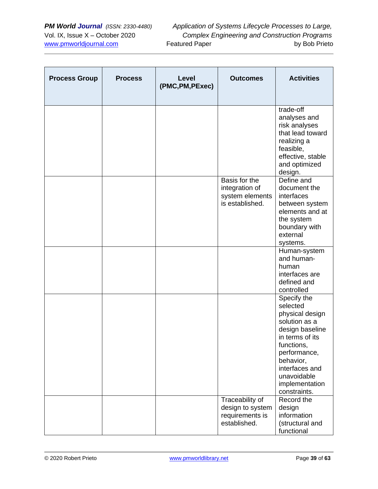| <b>Process Group</b> | <b>Process</b> | Level<br>(PMC, PM, PExec) | <b>Outcomes</b>                                                        | <b>Activities</b>                                                                                                                                                                                               |
|----------------------|----------------|---------------------------|------------------------------------------------------------------------|-----------------------------------------------------------------------------------------------------------------------------------------------------------------------------------------------------------------|
|                      |                |                           |                                                                        | trade-off<br>analyses and<br>risk analyses<br>that lead toward<br>realizing a<br>feasible,<br>effective, stable<br>and optimized<br>design.                                                                     |
|                      |                |                           | Basis for the<br>integration of<br>system elements<br>is established.  | Define and<br>document the<br>interfaces<br>between system<br>elements and at<br>the system<br>boundary with<br>external<br>systems.                                                                            |
|                      |                |                           |                                                                        | Human-system<br>and human-<br>human<br>interfaces are<br>defined and<br>controlled                                                                                                                              |
|                      |                |                           |                                                                        | Specify the<br>selected<br>physical design<br>solution as a<br>design baseline<br>in terms of its<br>functions,<br>performance,<br>behavior,<br>interfaces and<br>unavoidable<br>implementation<br>constraints. |
|                      |                |                           | Traceability of<br>design to system<br>requirements is<br>established. | Record the<br>design<br>information<br>(structural and<br>functional                                                                                                                                            |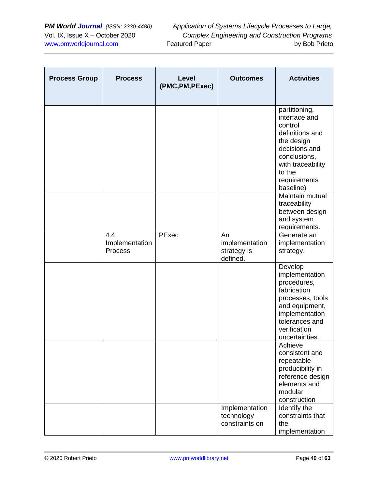| <b>Process Group</b> | <b>Process</b>                          | Level<br>(PMC, PM, PExec) | <b>Outcomes</b>                                 | <b>Activities</b>                                                                                                                                                       |
|----------------------|-----------------------------------------|---------------------------|-------------------------------------------------|-------------------------------------------------------------------------------------------------------------------------------------------------------------------------|
|                      |                                         |                           |                                                 | partitioning,<br>interface and<br>control<br>definitions and<br>the design<br>decisions and<br>conclusions,<br>with traceability<br>to the<br>requirements<br>baseline) |
|                      |                                         |                           |                                                 | Maintain mutual<br>traceability<br>between design<br>and system<br>requirements.                                                                                        |
|                      | 4.4<br>Implementation<br><b>Process</b> | PExec                     | An<br>implementation<br>strategy is<br>defined. | Generate an<br>implementation<br>strategy.                                                                                                                              |
|                      |                                         |                           |                                                 | Develop<br>implementation<br>procedures,<br>fabrication<br>processes, tools<br>and equipment,<br>implementation<br>tolerances and<br>verification<br>uncertainties.     |
|                      |                                         |                           |                                                 | Achieve<br>consistent and<br>repeatable<br>producibility in<br>reference design<br>elements and<br>modular<br>construction                                              |
|                      |                                         |                           | Implementation<br>technology<br>constraints on  | Identify the<br>constraints that<br>the<br>implementation                                                                                                               |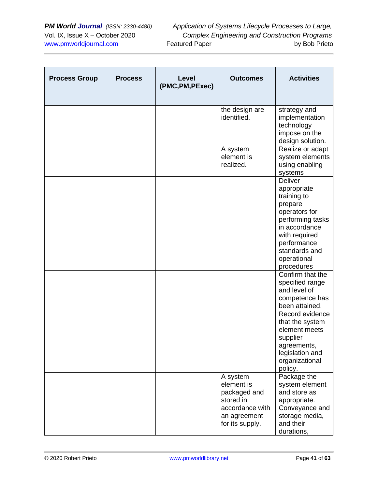| <b>Process Group</b> | <b>Process</b> | Level<br>(PMC, PM, PExec) | <b>Outcomes</b>                                                                                           | <b>Activities</b>                                                                                                                                                                           |
|----------------------|----------------|---------------------------|-----------------------------------------------------------------------------------------------------------|---------------------------------------------------------------------------------------------------------------------------------------------------------------------------------------------|
|                      |                |                           | the design are<br>identified.                                                                             | strategy and<br>implementation<br>technology<br>impose on the<br>design solution.                                                                                                           |
|                      |                |                           | A system<br>element is<br>realized.                                                                       | Realize or adapt<br>system elements<br>using enabling<br>systems                                                                                                                            |
|                      |                |                           |                                                                                                           | <b>Deliver</b><br>appropriate<br>training to<br>prepare<br>operators for<br>performing tasks<br>in accordance<br>with required<br>performance<br>standards and<br>operational<br>procedures |
|                      |                |                           |                                                                                                           | Confirm that the<br>specified range<br>and level of<br>competence has<br>been attained.                                                                                                     |
|                      |                |                           |                                                                                                           | Record evidence<br>that the system<br>element meets<br>supplier<br>agreements,<br>legislation and<br>organizational<br>policy.                                                              |
|                      |                |                           | A system<br>element is<br>packaged and<br>stored in<br>accordance with<br>an agreement<br>for its supply. | Package the<br>system element<br>and store as<br>appropriate.<br>Conveyance and<br>storage media,<br>and their<br>durations,                                                                |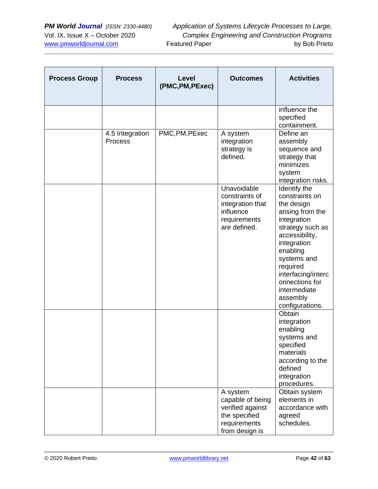| <b>Process Group</b> | <b>Process</b>             | Level<br>(PMC, PM, PExec) | <b>Outcomes</b>                                                                                     | <b>Activities</b>                                                                                                                                                                                                                                                  |
|----------------------|----------------------------|---------------------------|-----------------------------------------------------------------------------------------------------|--------------------------------------------------------------------------------------------------------------------------------------------------------------------------------------------------------------------------------------------------------------------|
|                      |                            |                           |                                                                                                     | influence the<br>specified<br>containment.                                                                                                                                                                                                                         |
|                      | 4.5 Integration<br>Process | PMC, PM, PExec            | A system<br>integration<br>strategy is<br>defined.                                                  | Define an<br>assembly<br>sequence and<br>strategy that<br>minimizes<br>system<br>integration risks.                                                                                                                                                                |
|                      |                            |                           | Unavoidable<br>constraints of<br>integration that<br>influence<br>requirements<br>are defined.      | Identify the<br>constraints on<br>the design<br>arising from the<br>integration<br>strategy such as<br>accessibility,<br>integration<br>enabling<br>systems and<br>required<br>interfacing/interc<br>onnections for<br>intermediate<br>assembly<br>configurations. |
|                      |                            |                           |                                                                                                     | Obtain<br>integration<br>enabling<br>systems and<br>specified<br>materials<br>according to the<br>defined<br>integration<br>procedures.                                                                                                                            |
|                      |                            |                           | A system<br>capable of being<br>verified against<br>the specified<br>requirements<br>from design is | Obtain system<br>elements in<br>accordance with<br>agreed<br>schedules.                                                                                                                                                                                            |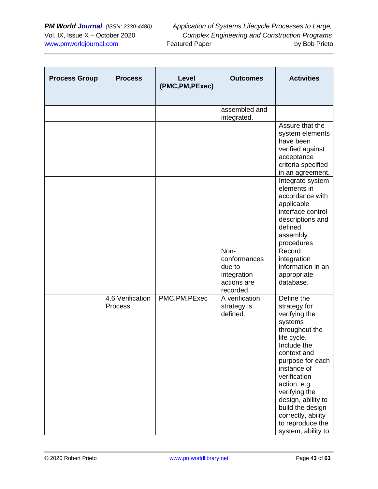| <b>Process Group</b> | <b>Process</b>              | <b>Level</b><br>(PMC, PM, PExec) | <b>Outcomes</b>                                                           | <b>Activities</b>                                                                                                                                                                                                                                                                                                   |
|----------------------|-----------------------------|----------------------------------|---------------------------------------------------------------------------|---------------------------------------------------------------------------------------------------------------------------------------------------------------------------------------------------------------------------------------------------------------------------------------------------------------------|
|                      |                             |                                  | assembled and<br>integrated.                                              |                                                                                                                                                                                                                                                                                                                     |
|                      |                             |                                  |                                                                           | Assure that the<br>system elements<br>have been<br>verified against<br>acceptance<br>criteria specified<br>in an agreement.                                                                                                                                                                                         |
|                      |                             |                                  |                                                                           | Integrate system<br>elements in<br>accordance with<br>applicable<br>interface control<br>descriptions and<br>defined<br>assembly<br>procedures                                                                                                                                                                      |
|                      |                             |                                  | Non-<br>conformances<br>due to<br>integration<br>actions are<br>recorded. | Record<br>integration<br>information in an<br>appropriate<br>database.                                                                                                                                                                                                                                              |
|                      | 4.6 Verification<br>Process | PMC, PM, PExec                   | A verification<br>strategy is<br>defined.                                 | Define the<br>strategy for<br>verifying the<br>systems<br>throughout the<br>life cycle.<br>Include the<br>context and<br>purpose for each<br>instance of<br>verification<br>action, e.g.<br>verifying the<br>design, ability to<br>build the design<br>correctly, ability<br>to reproduce the<br>system, ability to |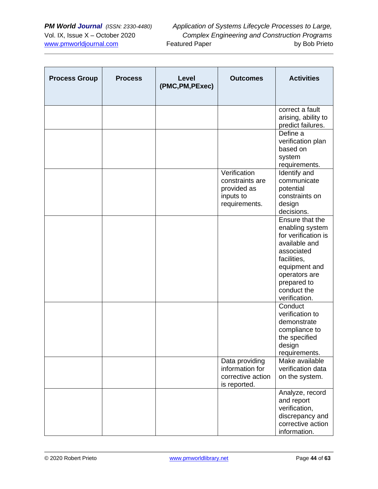| <b>Process Group</b> | <b>Process</b> | Level<br>(PMC, PM, PExec) | <b>Outcomes</b>                                                              | <b>Activities</b>                                                                                                                                                                        |
|----------------------|----------------|---------------------------|------------------------------------------------------------------------------|------------------------------------------------------------------------------------------------------------------------------------------------------------------------------------------|
|                      |                |                           |                                                                              | correct a fault<br>arising, ability to<br>predict failures.                                                                                                                              |
|                      |                |                           |                                                                              | Define a<br>verification plan<br>based on<br>system<br>requirements.                                                                                                                     |
|                      |                |                           | Verification<br>constraints are<br>provided as<br>inputs to<br>requirements. | Identify and<br>communicate<br>potential<br>constraints on<br>design<br>decisions.                                                                                                       |
|                      |                |                           |                                                                              | Ensure that the<br>enabling system<br>for verification is<br>available and<br>associated<br>facilities,<br>equipment and<br>operators are<br>prepared to<br>conduct the<br>verification. |
|                      |                |                           |                                                                              | Conduct<br>verification to<br>demonstrate<br>compliance to<br>the specified<br>design<br>requirements.                                                                                   |
|                      |                |                           | Data providing<br>information for<br>corrective action<br>is reported.       | Make available<br>verification data<br>on the system.                                                                                                                                    |
|                      |                |                           |                                                                              | Analyze, record<br>and report<br>verification,<br>discrepancy and<br>corrective action<br>information.                                                                                   |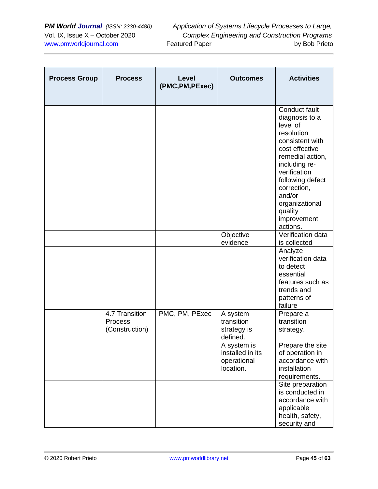| <b>Process Group</b> | <b>Process</b>                              | Level<br>(PMC, PM, PExec) | <b>Outcomes</b>                                             | <b>Activities</b>                                                                                                                                                                                                                                        |
|----------------------|---------------------------------------------|---------------------------|-------------------------------------------------------------|----------------------------------------------------------------------------------------------------------------------------------------------------------------------------------------------------------------------------------------------------------|
|                      |                                             |                           |                                                             | Conduct fault<br>diagnosis to a<br>level of<br>resolution<br>consistent with<br>cost effective<br>remedial action,<br>including re-<br>verification<br>following defect<br>correction,<br>and/or<br>organizational<br>quality<br>improvement<br>actions. |
|                      |                                             |                           | Objective<br>evidence                                       | Verification data<br>is collected                                                                                                                                                                                                                        |
|                      |                                             |                           |                                                             | Analyze<br>verification data<br>to detect<br>essential<br>features such as<br>trends and<br>patterns of<br>failure                                                                                                                                       |
|                      | 4.7 Transition<br>Process<br>(Construction) | PMC, PM, PExec            | A system<br>transition<br>strategy is<br>defined.           | Prepare a<br>transition<br>strategy.                                                                                                                                                                                                                     |
|                      |                                             |                           | A system is<br>installed in its<br>operational<br>location. | Prepare the site<br>of operation in<br>accordance with<br>installation<br>requirements.                                                                                                                                                                  |
|                      |                                             |                           |                                                             | Site preparation<br>is conducted in<br>accordance with<br>applicable<br>health, safety,<br>security and                                                                                                                                                  |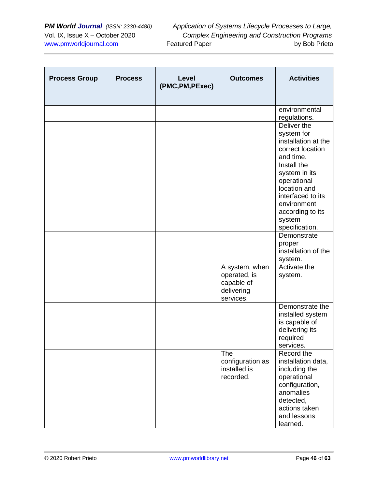| <b>Process Group</b> | <b>Process</b> | Level<br>(PMC, PM, PExec) | <b>Outcomes</b>                                                         | <b>Activities</b>                                                                                                                                        |
|----------------------|----------------|---------------------------|-------------------------------------------------------------------------|----------------------------------------------------------------------------------------------------------------------------------------------------------|
|                      |                |                           |                                                                         | environmental<br>regulations.                                                                                                                            |
|                      |                |                           |                                                                         | Deliver the<br>system for<br>installation at the<br>correct location<br>and time.                                                                        |
|                      |                |                           |                                                                         | Install the<br>system in its<br>operational<br>location and<br>interfaced to its<br>environment<br>according to its<br>system<br>specification.          |
|                      |                |                           |                                                                         | Demonstrate<br>proper<br>installation of the<br>system.                                                                                                  |
|                      |                |                           | A system, when<br>operated, is<br>capable of<br>delivering<br>services. | Activate the<br>system.                                                                                                                                  |
|                      |                |                           |                                                                         | Demonstrate the<br>installed system<br>is capable of<br>delivering its<br>required<br>services.                                                          |
|                      |                |                           | The<br>configuration as<br>installed is<br>recorded.                    | Record the<br>installation data,<br>including the<br>operational<br>configuration,<br>anomalies<br>detected,<br>actions taken<br>and lessons<br>learned. |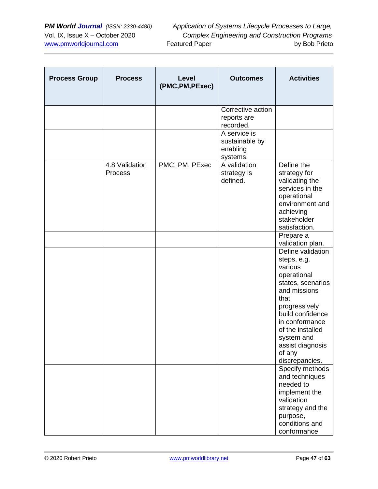| <b>Process Group</b> | <b>Process</b>            | Level<br>(PMC, PM, PExec) | <b>Outcomes</b>                                        | <b>Activities</b>                                                                                                                                                                                                                                                   |
|----------------------|---------------------------|---------------------------|--------------------------------------------------------|---------------------------------------------------------------------------------------------------------------------------------------------------------------------------------------------------------------------------------------------------------------------|
|                      |                           |                           | Corrective action<br>reports are<br>recorded.          |                                                                                                                                                                                                                                                                     |
|                      |                           |                           | A service is<br>sustainable by<br>enabling<br>systems. |                                                                                                                                                                                                                                                                     |
|                      | 4.8 Validation<br>Process | PMC, PM, PExec            | A validation<br>strategy is<br>defined.                | Define the<br>strategy for<br>validating the<br>services in the<br>operational<br>environment and<br>achieving<br>stakeholder<br>satisfaction.                                                                                                                      |
|                      |                           |                           |                                                        | Prepare a<br>validation plan.                                                                                                                                                                                                                                       |
|                      |                           |                           |                                                        | Define validation<br>steps, e.g.<br>various<br>operational<br>states, scenarios<br>and missions<br>that<br>progressively<br>build confidence<br>in conformance<br>of the installed<br>system and<br>assist diagnosis<br>of any<br>discrepancies.<br>Specify methods |
|                      |                           |                           |                                                        | and techniques<br>needed to<br>implement the<br>validation<br>strategy and the<br>purpose,<br>conditions and<br>conformance                                                                                                                                         |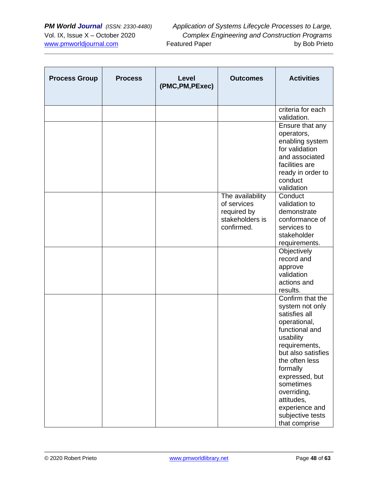| <b>Process Group</b> | <b>Process</b> | Level<br>(PMC, PM, PExec) | <b>Outcomes</b>                                                                 | <b>Activities</b>                                                                                                                                                                                                                                                                           |
|----------------------|----------------|---------------------------|---------------------------------------------------------------------------------|---------------------------------------------------------------------------------------------------------------------------------------------------------------------------------------------------------------------------------------------------------------------------------------------|
|                      |                |                           |                                                                                 | criteria for each<br>validation.                                                                                                                                                                                                                                                            |
|                      |                |                           |                                                                                 | Ensure that any<br>operators,<br>enabling system<br>for validation<br>and associated<br>facilities are<br>ready in order to<br>conduct<br>validation                                                                                                                                        |
|                      |                |                           | The availability<br>of services<br>required by<br>stakeholders is<br>confirmed. | Conduct<br>validation to<br>demonstrate<br>conformance of<br>services to<br>stakeholder<br>requirements.                                                                                                                                                                                    |
|                      |                |                           |                                                                                 | Objectively<br>record and<br>approve<br>validation<br>actions and<br>results.                                                                                                                                                                                                               |
|                      |                |                           |                                                                                 | Confirm that the<br>system not only<br>satisfies all<br>operational,<br>functional and<br>usability<br>requirements,<br>but also satisfies<br>the often less<br>formally<br>expressed, but<br>sometimes<br>overriding,<br>attitudes,<br>experience and<br>subjective tests<br>that comprise |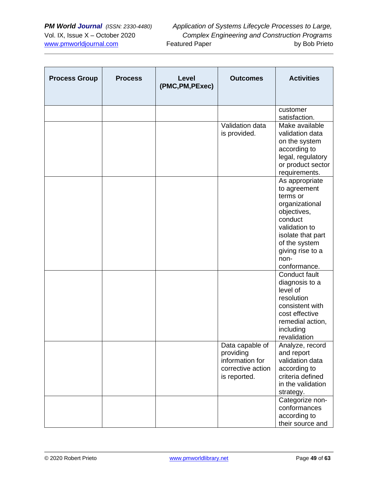| <b>Process Group</b> | <b>Process</b> | <b>Level</b><br>(PMC, PM, PExec) | <b>Outcomes</b>                                                                      | <b>Activities</b>                                                                                                                                                                         |
|----------------------|----------------|----------------------------------|--------------------------------------------------------------------------------------|-------------------------------------------------------------------------------------------------------------------------------------------------------------------------------------------|
|                      |                |                                  |                                                                                      | customer<br>satisfaction.                                                                                                                                                                 |
|                      |                |                                  | Validation data<br>is provided.                                                      | Make available<br>validation data<br>on the system<br>according to<br>legal, regulatory<br>or product sector<br>requirements.                                                             |
|                      |                |                                  |                                                                                      | As appropriate<br>to agreement<br>terms or<br>organizational<br>objectives,<br>conduct<br>validation to<br>isolate that part<br>of the system<br>giving rise to a<br>non-<br>conformance. |
|                      |                |                                  |                                                                                      | Conduct fault<br>diagnosis to a<br>level of<br>resolution<br>consistent with<br>cost effective<br>remedial action,<br>including<br>revalidation                                           |
|                      |                |                                  | Data capable of<br>providing<br>information for<br>corrective action<br>is reported. | Analyze, record<br>and report<br>validation data<br>according to<br>criteria defined<br>in the validation<br>strategy.                                                                    |
|                      |                |                                  |                                                                                      | Categorize non-<br>conformances<br>according to<br>their source and                                                                                                                       |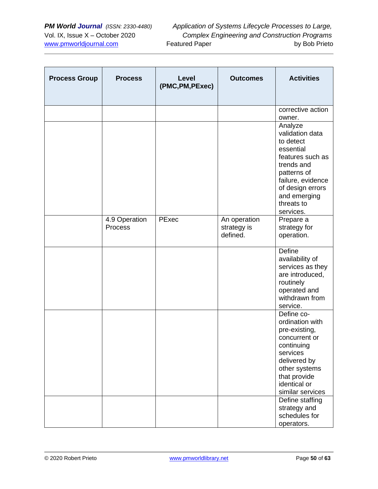| <b>Process Group</b> | <b>Process</b>           | Level<br>(PMC, PM, PExec) | <b>Outcomes</b>                         | <b>Activities</b>                                                                                                                                                                         |
|----------------------|--------------------------|---------------------------|-----------------------------------------|-------------------------------------------------------------------------------------------------------------------------------------------------------------------------------------------|
|                      |                          |                           |                                         | corrective action<br>owner.                                                                                                                                                               |
|                      |                          |                           |                                         | Analyze<br>validation data<br>to detect<br>essential<br>features such as<br>trends and<br>patterns of<br>failure, evidence<br>of design errors<br>and emerging<br>threats to<br>services. |
|                      | 4.9 Operation<br>Process | PExec                     | An operation<br>strategy is<br>defined. | Prepare a<br>strategy for<br>operation.                                                                                                                                                   |
|                      |                          |                           |                                         | Define<br>availability of<br>services as they<br>are introduced,<br>routinely<br>operated and<br>withdrawn from<br>service.                                                               |
|                      |                          |                           |                                         | Define co-<br>ordination with<br>pre-existing,<br>concurrent or<br>continuing<br>services<br>delivered by<br>other systems<br>that provide<br>identical or<br>similar services            |
|                      |                          |                           |                                         | Define staffing<br>strategy and<br>schedules for<br>operators.                                                                                                                            |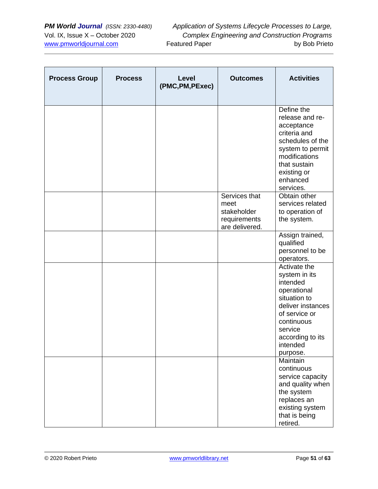| <b>Process Group</b> | <b>Process</b> | Level<br>(PMC, PM, PExec) | <b>Outcomes</b>                                                        | <b>Activities</b>                                                                                                                                                                   |
|----------------------|----------------|---------------------------|------------------------------------------------------------------------|-------------------------------------------------------------------------------------------------------------------------------------------------------------------------------------|
|                      |                |                           |                                                                        | Define the<br>release and re-<br>acceptance<br>criteria and<br>schedules of the<br>system to permit<br>modifications<br>that sustain<br>existing or<br>enhanced<br>services.        |
|                      |                |                           | Services that<br>meet<br>stakeholder<br>requirements<br>are delivered. | Obtain other<br>services related<br>to operation of<br>the system.                                                                                                                  |
|                      |                |                           |                                                                        | Assign trained,<br>qualified<br>personnel to be<br>operators.                                                                                                                       |
|                      |                |                           |                                                                        | Activate the<br>system in its<br>intended<br>operational<br>situation to<br>deliver instances<br>of service or<br>continuous<br>service<br>according to its<br>intended<br>purpose. |
|                      |                |                           |                                                                        | Maintain<br>continuous<br>service capacity<br>and quality when<br>the system<br>replaces an<br>existing system<br>that is being<br>retired.                                         |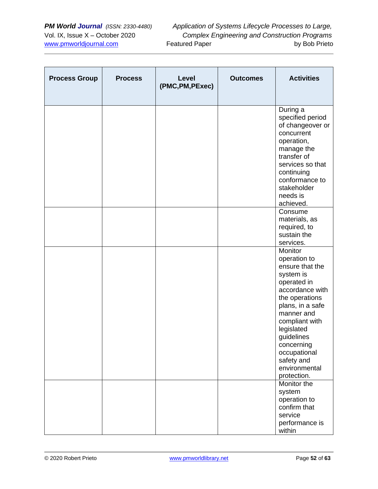| <b>Process Group</b> | <b>Process</b> | <b>Level</b><br>(PMC, PM, PExec) | <b>Outcomes</b> | <b>Activities</b>                                                                                                                                                                                                                                                       |
|----------------------|----------------|----------------------------------|-----------------|-------------------------------------------------------------------------------------------------------------------------------------------------------------------------------------------------------------------------------------------------------------------------|
|                      |                |                                  |                 | During a<br>specified period<br>of changeover or<br>concurrent<br>operation,<br>manage the<br>transfer of<br>services so that<br>continuing<br>conformance to<br>stakeholder<br>needs is<br>achieved.                                                                   |
|                      |                |                                  |                 | Consume<br>materials, as<br>required, to<br>sustain the<br>services.                                                                                                                                                                                                    |
|                      |                |                                  |                 | Monitor<br>operation to<br>ensure that the<br>system is<br>operated in<br>accordance with<br>the operations<br>plans, in a safe<br>manner and<br>compliant with<br>legislated<br>guidelines<br>concerning<br>occupational<br>safety and<br>environmental<br>protection. |
|                      |                |                                  |                 | Monitor the<br>system<br>operation to<br>confirm that<br>service<br>performance is<br>within                                                                                                                                                                            |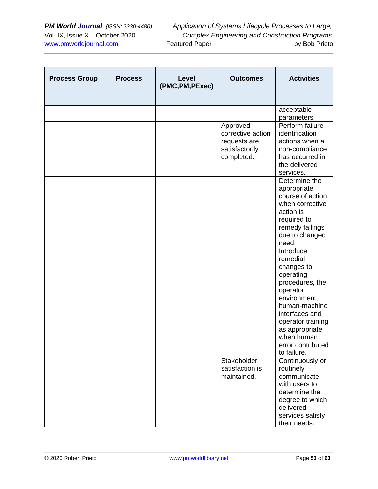| <b>Process Group</b> | <b>Process</b> | Level<br>(PMC, PM, PExec) | <b>Outcomes</b>                                                               | <b>Activities</b>                                                                                                                                                                                                           |
|----------------------|----------------|---------------------------|-------------------------------------------------------------------------------|-----------------------------------------------------------------------------------------------------------------------------------------------------------------------------------------------------------------------------|
|                      |                |                           |                                                                               | acceptable<br>parameters.                                                                                                                                                                                                   |
|                      |                |                           | Approved<br>corrective action<br>requests are<br>satisfactorily<br>completed. | Perform failure<br>identification<br>actions when a<br>non-compliance<br>has occurred in<br>the delivered<br>services.                                                                                                      |
|                      |                |                           |                                                                               | Determine the<br>appropriate<br>course of action<br>when corrective<br>action is<br>required to<br>remedy failings<br>due to changed<br>need.                                                                               |
|                      |                |                           |                                                                               | Introduce<br>remedial<br>changes to<br>operating<br>procedures, the<br>operator<br>environment,<br>human-machine<br>interfaces and<br>operator training<br>as appropriate<br>when human<br>error contributed<br>to failure. |
|                      |                |                           | Stakeholder<br>satisfaction is<br>maintained.                                 | Continuously or<br>routinely<br>communicate<br>with users to<br>determine the<br>degree to which<br>delivered<br>services satisfy<br>their needs.                                                                           |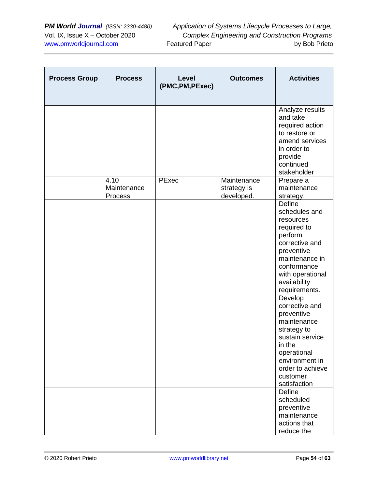| <b>Process Group</b> | <b>Process</b>                 | Level<br>(PMC, PM, PExec) | <b>Outcomes</b>                          | <b>Activities</b>                                                                                                                                                                           |
|----------------------|--------------------------------|---------------------------|------------------------------------------|---------------------------------------------------------------------------------------------------------------------------------------------------------------------------------------------|
|                      |                                |                           |                                          | Analyze results<br>and take<br>required action<br>to restore or<br>amend services<br>in order to<br>provide<br>continued<br>stakeholder                                                     |
|                      | 4.10<br>Maintenance<br>Process | PExec                     | Maintenance<br>strategy is<br>developed. | Prepare a<br>maintenance<br>strategy.                                                                                                                                                       |
|                      |                                |                           |                                          | <b>Define</b><br>schedules and<br>resources<br>required to<br>perform<br>corrective and<br>preventive<br>maintenance in<br>conformance<br>with operational<br>availability<br>requirements. |
|                      |                                |                           |                                          | Develop<br>corrective and<br>preventive<br>maintenance<br>strategy to<br>sustain service<br>in the<br>operational<br>environment in<br>order to achieve<br>customer<br>satisfaction         |
|                      |                                |                           |                                          | Define<br>scheduled<br>preventive<br>maintenance<br>actions that<br>reduce the                                                                                                              |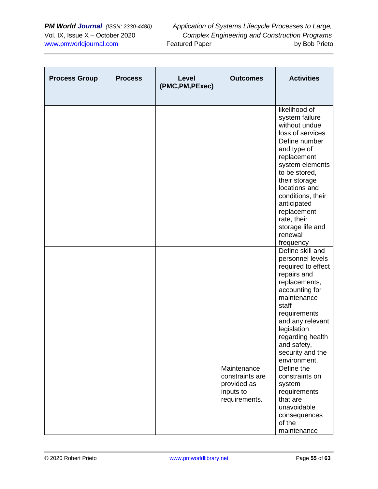| <b>Process Group</b> | <b>Process</b> | Level<br>(PMC, PM, PExec) | <b>Outcomes</b>                                                             | <b>Activities</b>                                                                                                                                                                                                                                              |
|----------------------|----------------|---------------------------|-----------------------------------------------------------------------------|----------------------------------------------------------------------------------------------------------------------------------------------------------------------------------------------------------------------------------------------------------------|
|                      |                |                           |                                                                             | likelihood of<br>system failure<br>without undue<br>loss of services                                                                                                                                                                                           |
|                      |                |                           |                                                                             | Define number<br>and type of<br>replacement<br>system elements<br>to be stored,<br>their storage<br>locations and<br>conditions, their<br>anticipated<br>replacement<br>rate, their<br>storage life and<br>renewal<br>frequency                                |
|                      |                |                           |                                                                             | Define skill and<br>personnel levels<br>required to effect<br>repairs and<br>replacements,<br>accounting for<br>maintenance<br>staff<br>requirements<br>and any relevant<br>legislation<br>regarding health<br>and safety,<br>security and the<br>environment. |
|                      |                |                           | Maintenance<br>constraints are<br>provided as<br>inputs to<br>requirements. | Define the<br>constraints on<br>system<br>requirements<br>that are<br>unavoidable<br>consequences<br>of the<br>maintenance                                                                                                                                     |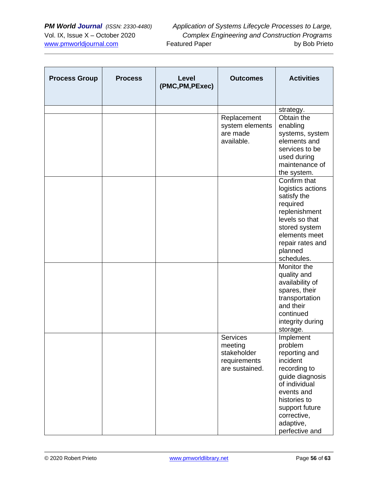| <b>Process Group</b> | <b>Process</b> | Level<br>(PMC, PM, PExec) | <b>Outcomes</b>                                                             | <b>Activities</b>                                                                                                                                                                                   |
|----------------------|----------------|---------------------------|-----------------------------------------------------------------------------|-----------------------------------------------------------------------------------------------------------------------------------------------------------------------------------------------------|
|                      |                |                           |                                                                             | strategy.                                                                                                                                                                                           |
|                      |                |                           | Replacement<br>system elements<br>are made<br>available.                    | Obtain the<br>enabling<br>systems, system<br>elements and<br>services to be<br>used during<br>maintenance of<br>the system.                                                                         |
|                      |                |                           |                                                                             | Confirm that<br>logistics actions<br>satisfy the<br>required<br>replenishment<br>levels so that<br>stored system<br>elements meet<br>repair rates and<br>planned<br>schedules.                      |
|                      |                |                           |                                                                             | Monitor the<br>quality and<br>availability of<br>spares, their<br>transportation<br>and their<br>continued<br>integrity during<br>storage.                                                          |
|                      |                |                           | <b>Services</b><br>meeting<br>stakeholder<br>requirements<br>are sustained. | Implement<br>problem<br>reporting and<br>incident<br>recording to<br>guide diagnosis<br>of individual<br>events and<br>histories to<br>support future<br>corrective,<br>adaptive,<br>perfective and |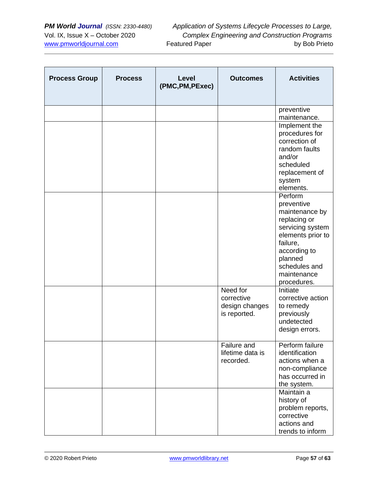| <b>Process Group</b> | <b>Process</b> | <b>Level</b><br>(PMC, PM, PExec) | <b>Outcomes</b>                                          | <b>Activities</b>                                                                                                                                                                      |
|----------------------|----------------|----------------------------------|----------------------------------------------------------|----------------------------------------------------------------------------------------------------------------------------------------------------------------------------------------|
|                      |                |                                  |                                                          | preventive<br>maintenance.                                                                                                                                                             |
|                      |                |                                  |                                                          | Implement the<br>procedures for<br>correction of<br>random faults<br>and/or<br>scheduled<br>replacement of<br>system<br>elements.                                                      |
|                      |                |                                  |                                                          | Perform<br>preventive<br>maintenance by<br>replacing or<br>servicing system<br>elements prior to<br>failure,<br>according to<br>planned<br>schedules and<br>maintenance<br>procedures. |
|                      |                |                                  | Need for<br>corrective<br>design changes<br>is reported. | Initiate<br>corrective action<br>to remedy<br>previously<br>undetected<br>design errors.                                                                                               |
|                      |                |                                  | Failure and<br>lifetime data is<br>recorded.             | Perform failure<br>identification<br>actions when a<br>non-compliance<br>has occurred in<br>the system.                                                                                |
|                      |                |                                  |                                                          | Maintain a<br>history of<br>problem reports,<br>corrective<br>actions and<br>trends to inform                                                                                          |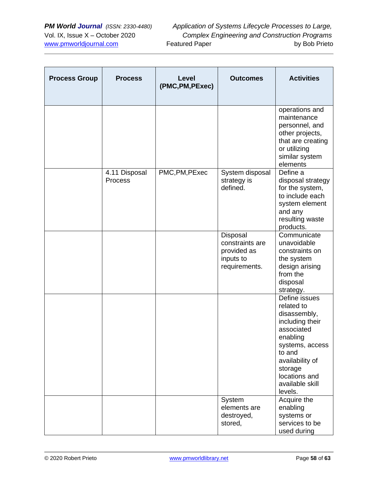| <b>Process Group</b> | <b>Process</b>           | Level<br>(PMC, PM, PExec) | <b>Outcomes</b>                                                          | <b>Activities</b>                                                                                                                                                                                  |
|----------------------|--------------------------|---------------------------|--------------------------------------------------------------------------|----------------------------------------------------------------------------------------------------------------------------------------------------------------------------------------------------|
|                      |                          |                           |                                                                          | operations and<br>maintenance<br>personnel, and<br>other projects,<br>that are creating<br>or utilizing<br>similar system<br>elements                                                              |
|                      | 4.11 Disposal<br>Process | PMC, PM, PExec            | System disposal<br>strategy is<br>defined.                               | Define a<br>disposal strategy<br>for the system,<br>to include each<br>system element<br>and any<br>resulting waste<br>products.                                                                   |
|                      |                          |                           | Disposal<br>constraints are<br>provided as<br>inputs to<br>requirements. | Communicate<br>unavoidable<br>constraints on<br>the system<br>design arising<br>from the<br>disposal<br>strategy.                                                                                  |
|                      |                          |                           |                                                                          | Define issues<br>related to<br>disassembly,<br>including their<br>associated<br>enabling<br>systems, access<br>to and<br>availability of<br>storage<br>locations and<br>available skill<br>levels. |
|                      |                          |                           | System<br>elements are<br>destroyed,<br>stored,                          | Acquire the<br>enabling<br>systems or<br>services to be<br>used during                                                                                                                             |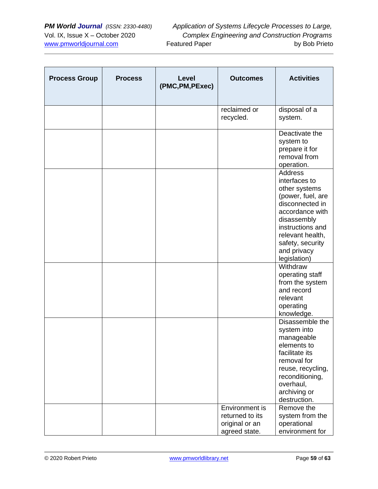| <b>Process Group</b> | <b>Process</b> | Level<br>(PMC, PM, PExec) | <b>Outcomes</b>                                                      | <b>Activities</b>                                                                                                                                                                                                     |
|----------------------|----------------|---------------------------|----------------------------------------------------------------------|-----------------------------------------------------------------------------------------------------------------------------------------------------------------------------------------------------------------------|
|                      |                |                           | reclaimed or<br>recycled.                                            | disposal of a<br>system.                                                                                                                                                                                              |
|                      |                |                           |                                                                      | Deactivate the<br>system to<br>prepare it for<br>removal from<br>operation.                                                                                                                                           |
|                      |                |                           |                                                                      | <b>Address</b><br>interfaces to<br>other systems<br>(power, fuel, are<br>disconnected in<br>accordance with<br>disassembly<br>instructions and<br>relevant health,<br>safety, security<br>and privacy<br>legislation) |
|                      |                |                           |                                                                      | Withdraw<br>operating staff<br>from the system<br>and record<br>relevant<br>operating<br>knowledge.                                                                                                                   |
|                      |                |                           |                                                                      | Disassemble the<br>system into<br>manageable<br>elements to<br>facilitate its<br>removal for<br>reuse, recycling,<br>reconditioning,<br>overhaul,<br>archiving or<br>destruction.                                     |
|                      |                |                           | Environment is<br>returned to its<br>original or an<br>agreed state. | Remove the<br>system from the<br>operational<br>environment for                                                                                                                                                       |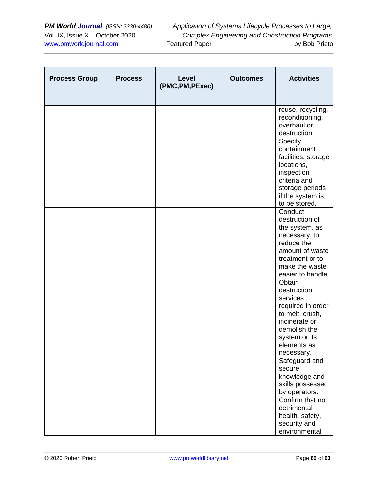| <b>Process Group</b> | <b>Process</b> | Level<br>(PMC, PM, PExec) | <b>Outcomes</b> | <b>Activities</b>                                                                                                                                        |
|----------------------|----------------|---------------------------|-----------------|----------------------------------------------------------------------------------------------------------------------------------------------------------|
|                      |                |                           |                 | reuse, recycling,<br>reconditioning,<br>overhaul or<br>destruction.                                                                                      |
|                      |                |                           |                 | Specify<br>containment<br>facilities, storage<br>locations,<br>inspection<br>criteria and<br>storage periods<br>if the system is<br>to be stored.        |
|                      |                |                           |                 | Conduct<br>destruction of<br>the system, as<br>necessary, to<br>reduce the<br>amount of waste<br>treatment or to<br>make the waste<br>easier to handle.  |
|                      |                |                           |                 | Obtain<br>destruction<br>services<br>required in order<br>to melt, crush,<br>incinerate or<br>demolish the<br>system or its<br>elements as<br>necessary. |
|                      |                |                           |                 | Safeguard and<br>secure<br>knowledge and<br>skills possessed<br>by operators.                                                                            |
|                      |                |                           |                 | Confirm that no<br>detrimental<br>health, safety,<br>security and<br>environmental                                                                       |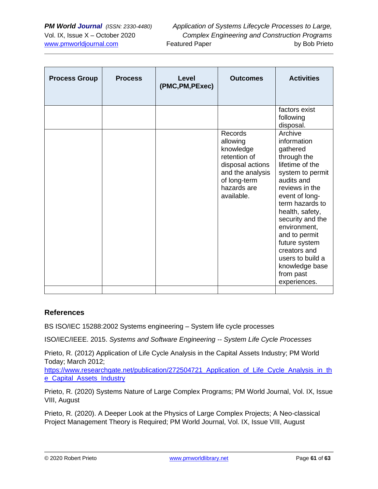| <b>Process Group</b> | <b>Process</b> | <b>Level</b><br>(PMC, PM, PExec) | <b>Outcomes</b>                                                                                                                       | <b>Activities</b>                                                                                                                                                                                                                                                                                                                         |
|----------------------|----------------|----------------------------------|---------------------------------------------------------------------------------------------------------------------------------------|-------------------------------------------------------------------------------------------------------------------------------------------------------------------------------------------------------------------------------------------------------------------------------------------------------------------------------------------|
|                      |                |                                  |                                                                                                                                       | factors exist<br>following<br>disposal.                                                                                                                                                                                                                                                                                                   |
|                      |                |                                  | Records<br>allowing<br>knowledge<br>retention of<br>disposal actions<br>and the analysis<br>of long-term<br>hazards are<br>available. | Archive<br>information<br>gathered<br>through the<br>lifetime of the<br>system to permit<br>audits and<br>reviews in the<br>event of long-<br>term hazards to<br>health, safety,<br>security and the<br>environment,<br>and to permit<br>future system<br>creators and<br>users to build a<br>knowledge base<br>from past<br>experiences. |

### **References**

BS ISO/IEC 15288:2002 Systems engineering – System life cycle processes

ISO/IEC/IEEE. 2015. *Systems and Software Engineering -- System Life Cycle Processes*

Prieto, R. (2012) Application of Life Cycle Analysis in the Capital Assets Industry; PM World Today; March 2012;

https://www.researchgate.net/publication/272504721 Application of Life Cycle Analysis in th e Capital Assets Industry

Prieto, R. (2020) Systems Nature of Large Complex Programs; PM World Journal, Vol. IX, Issue VIII, August

Prieto, R. (2020). A Deeper Look at the Physics of Large Complex Projects; A Neo-classical Project Management Theory is Required; PM World Journal, Vol. IX, Issue VIII, August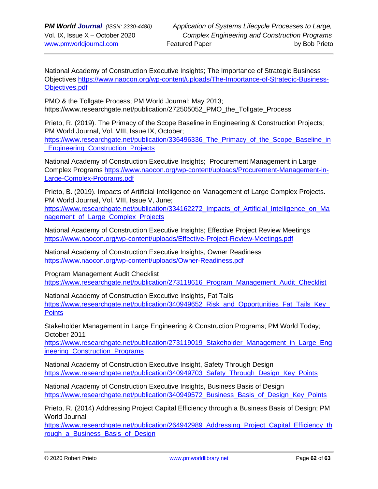National Academy of Construction Executive Insights; The Importance of Strategic Business Objectives [https://www.naocon.org/wp-content/uploads/The-Importance-of-Strategic-Business-](https://www.naocon.org/wp-content/uploads/The-Importance-of-Strategic-Business-Objectives.pdf)[Objectives.pdf](https://www.naocon.org/wp-content/uploads/The-Importance-of-Strategic-Business-Objectives.pdf)

PMO & the Tollgate Process; PM World Journal; May 2013; https://www.researchgate.net/publication/272505052\_PMO\_the\_Tollgate\_Process

Prieto, R. (2019). The Primacy of the Scope Baseline in Engineering & Construction Projects; PM World Journal, Vol. VIII, Issue IX, October;

[https://www.researchgate.net/publication/336496336\\_The\\_Primacy\\_of\\_the\\_Scope\\_Baseline\\_in](https://www.researchgate.net/publication/336496336_The_Primacy_of_the_Scope_Baseline_in_Engineering_Construction_Projects) Engineering Construction Projects

National Academy of Construction Executive Insights; Procurement Management in Large Complex Programs [https://www.naocon.org/wp-content/uploads/Procurement-Management-in-](https://www.naocon.org/wp-content/uploads/Procurement-Management-in-Large-Complex-Programs.pdf)[Large-Complex-Programs.pdf](https://www.naocon.org/wp-content/uploads/Procurement-Management-in-Large-Complex-Programs.pdf)

Prieto, B. (2019). Impacts of Artificial Intelligence on Management of Large Complex Projects. PM World Journal, Vol. VIII, Issue V, June;

[https://www.researchgate.net/publication/334162272\\_Impacts\\_of\\_Artificial\\_Intelligence\\_on\\_Ma](https://www.researchgate.net/publication/334162272_Impacts_of_Artificial_Intelligence_on_Management_of_Large_Complex_Projects) [nagement\\_of\\_Large\\_Complex\\_Projects](https://www.researchgate.net/publication/334162272_Impacts_of_Artificial_Intelligence_on_Management_of_Large_Complex_Projects)

National Academy of Construction Executive Insights; Effective Project Review Meetings <https://www.naocon.org/wp-content/uploads/Effective-Project-Review-Meetings.pdf>

National Academy of Construction Executive Insights, Owner Readiness <https://www.naocon.org/wp-content/uploads/Owner-Readiness.pdf>

Program Management Audit Checklist [https://www.researchgate.net/publication/273118616\\_Program\\_Management\\_Audit\\_Checklist](https://www.researchgate.net/publication/273118616_Program_Management_Audit_Checklist)

National Academy of Construction Executive Insights, Fat Tails https://www.researchgate.net/publication/340949652 Risk and Opportunities Fat Tails Key **[Points](https://www.researchgate.net/publication/340949652_Risk_and_Opportunities_Fat_Tails_Key_Points)** 

Stakeholder Management in Large Engineering & Construction Programs; PM World Today; October 2011

[https://www.researchgate.net/publication/273119019\\_Stakeholder\\_Management\\_in\\_Large\\_Eng](https://www.researchgate.net/publication/273119019_Stakeholder_Management_in_Large_Engineering_Construction_Programs) [ineering\\_Construction\\_Programs](https://www.researchgate.net/publication/273119019_Stakeholder_Management_in_Large_Engineering_Construction_Programs)

National Academy of Construction Executive Insight, Safety Through Design [https://www.researchgate.net/publication/340949703\\_Safety\\_Through\\_Design\\_Key\\_Points](https://www.researchgate.net/publication/340949703_Safety_Through_Design_Key_Points)

National Academy of Construction Executive Insights, Business Basis of Design [https://www.researchgate.net/publication/340949572\\_Business\\_Basis\\_of\\_Design\\_Key\\_Points](https://www.researchgate.net/publication/340949572_Business_Basis_of_Design_Key_Points)

Prieto, R. (2014) Addressing Project Capital Efficiency through a Business Basis of Design; PM World Journal

[https://www.researchgate.net/publication/264942989\\_Addressing\\_Project\\_Capital\\_Efficiency\\_th](https://www.researchgate.net/publication/264942989_Addressing_Project_Capital_Efficiency_through_a_Business_Basis_of_Design) rough a Business Basis of Design